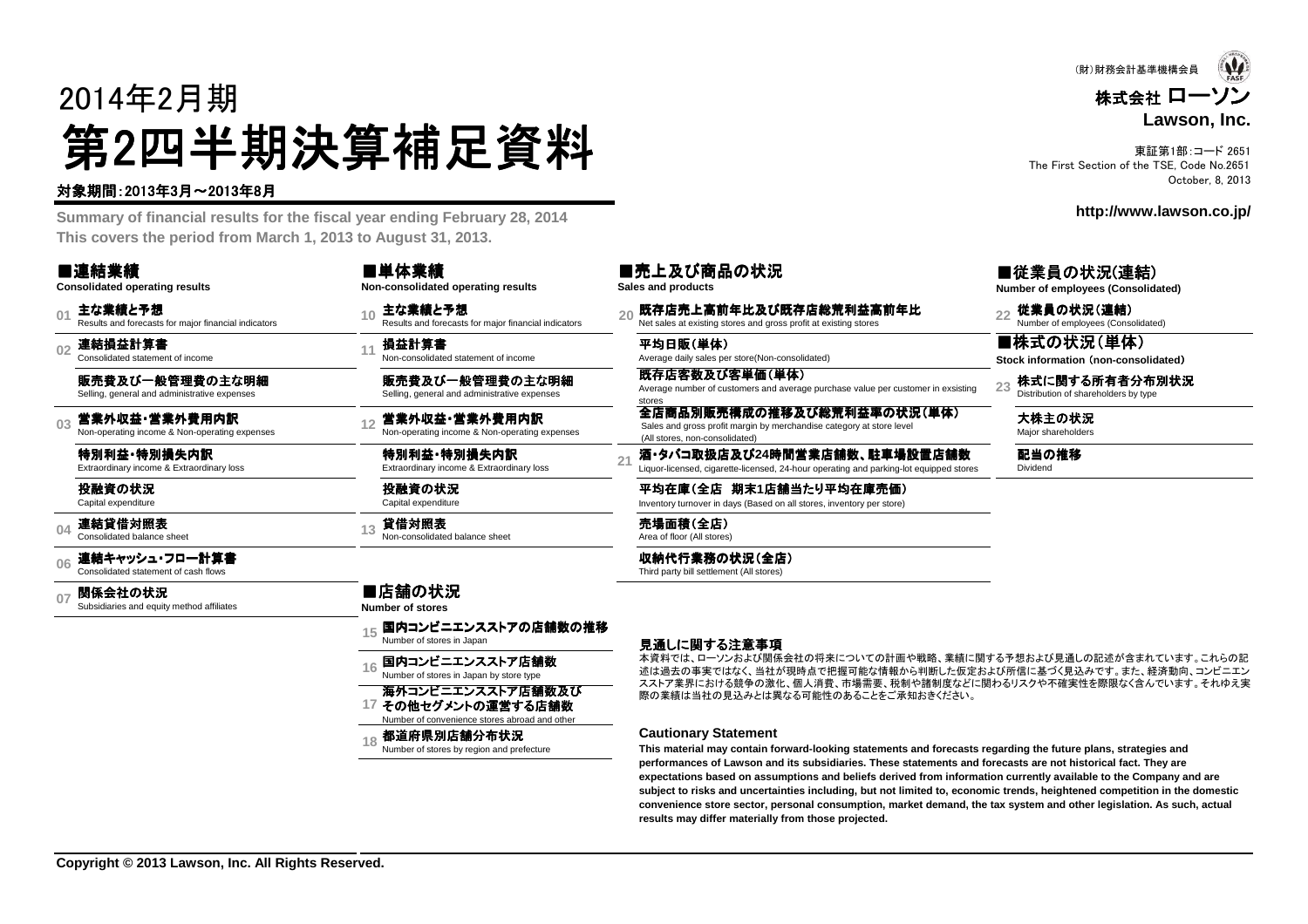# 2014年2月期第2四半期決算補足資料<br><del>"卿恩"的</del>

#### 対象期間:2013年3月~2013年8月

 **Summary of financial results for the fiscal year ending February 28, 2014This covers the period from March 1, 2013 to August 31, 2013.**

| ■連結業績<br><b>Consolidated operating results</b>                                    | ■単体業績<br>Non-consolidated operating results                                               | ■売上及び商品の状況<br>Sales and products                                                                                                             | ■従業員の状況(連結)<br>Number of employees (Consolidated)                   |
|-----------------------------------------------------------------------------------|-------------------------------------------------------------------------------------------|----------------------------------------------------------------------------------------------------------------------------------------------|---------------------------------------------------------------------|
| 主な業績と予想<br>0 <sup>1</sup><br>Results and forecasts for major financial indicators | 主な業績と予想<br>10<br>Results and forecasts for major financial indicators                     | 既存店売上高前年比及び既存店総荒利益高前年比<br>Net sales at existing stores and gross profit at existing stores                                                   | 従業員の状況(連結)<br>$\overline{22}$<br>Number of employees (Consolidated) |
| 連結損益計算書<br>Consolidated statement of income                                       | 損益計算書<br>Non-consolidated statement of income                                             | 平均日販(単体)<br>Average daily sales per store(Non-consolidated)                                                                                  | ■株式の状況(単体)<br>Stock information (non-consolidated)                  |
| 販売費及び一般管理費の主な明細<br>Selling, general and administrative expenses                   | 販売費及び一般管理費の主な明細<br>Selling, general and administrative expenses                           | 既存店客数及び客単価(単体)<br>Average number of customers and average purchase value per customer in exsisting<br>stores                                 | 株式に関する所有者分布別状況<br>23<br>Distribution of shareholders by type        |
| 営業外収益・営業外費用内訳<br>03<br>Non-operating income & Non-operating expenses              | 営業外収益・営業外費用内訳<br>Non-operating income & Non-operating expenses                            | 全店商品別販売構成の推移及び総荒利益率の状況(単体)<br>Sales and gross profit margin by merchandise category at store level<br>(All stores, non-consolidated)         | 大株主の状況<br>Maior shareholders                                        |
| 特別利益 特別損失内訳<br>Extraordinary income & Extraordinary loss                          | 特別利益 特別損失内訳<br>Extraordinary income & Extraordinary loss                                  | 酒・タバコ取扱店及び24時間営業店舗数、駐車場設置店舗数<br>2 <sup>1</sup><br>Liquor-licensed, cigarette-licensed, 24-hour operating and parking-lot equipped stores     | 配当の推移<br>Dividend                                                   |
| 投融資の状況<br>Capital expenditure                                                     | 投融資の状況<br>Capital expenditure                                                             | 平均在庫(全店 期末1店舗当たり平均在庫売価)<br>Inventory turnover in days (Based on all stores, inventory per store)                                             |                                                                     |
| 連結貸借対照表<br>Consolidated balance sheet                                             | 貸借対照表<br>Non-consolidated balance sheet                                                   | 売場面積(全店)<br>Area of floor (All stores)                                                                                                       |                                                                     |
| 連結キャッシュ・フロー計算書<br>Consolidated statement of cash flows                            |                                                                                           | 収納代行業務の状況(全店)<br>Third party bill settlement (All stores)                                                                                    |                                                                     |
| 関係会社の状況<br>Subsidiaries and equity method affiliates                              | ■店舗の状況<br><b>Number of stores</b>                                                         |                                                                                                                                              |                                                                     |
|                                                                                   | 国内コンビニエンスストアの店舗数の推移<br>Number of stores in Japan                                          | 見通しに関する注意事項                                                                                                                                  |                                                                     |
|                                                                                   | 国内コンビニエンスストア店舗数<br>Number of stores in Japan by store type                                | 本資料では、ローソンおよび関係会社の将来についての計画や戦略、業績に関する予想および見通しの記述が含まれています。これらの記<br>述は過去の事実ではなく、当社が現時点で把握可能な情報から判断した仮定および所信に基づく見込みです。また、経済動向、コンビニエン            |                                                                     |
|                                                                                   | 海外コンビニエンスストア店舗数及び<br>17 その他セグメントの運営する店舗数<br>Number of convenience stores abroad and other | スストア業界における競争の激化、個人消費、市場需要、税制や諸制度などに関わるリスクや不確実性を際限なく含んでいます。それゆえ実<br>際の業績は当社の見込みとは異なる可能性のあることをご承知おきください。                                       |                                                                     |
|                                                                                   | 都道府県別店舗分布状況<br>Number of stores by region and prefecture                                  | <b>Cautionary Statement</b><br>This material may contain forward-looking statements and forecasts regarding the future plans, strategies and |                                                                     |

東証第1部:コード 2651 The First Section of the TSE, Code No.2651October, 8, 2013

(財)財務会計基準機構会員

 **performances of Lawson and its subsidiaries. These statements and forecasts are not historical fact. They are expectations based on assumptions and beliefs derived from information currently available to the Company and are subject to risks and uncertainties including, but not limited to, economic trends, heightened competition in the domesticconvenience store sector, personal consumption, market demand, the tax system and other legislation. As such, actual**

**results may differ materially from those projected.**

**http://www.lawson.co.jp/**

株式会社 ローソン

**Lawson, Inc.**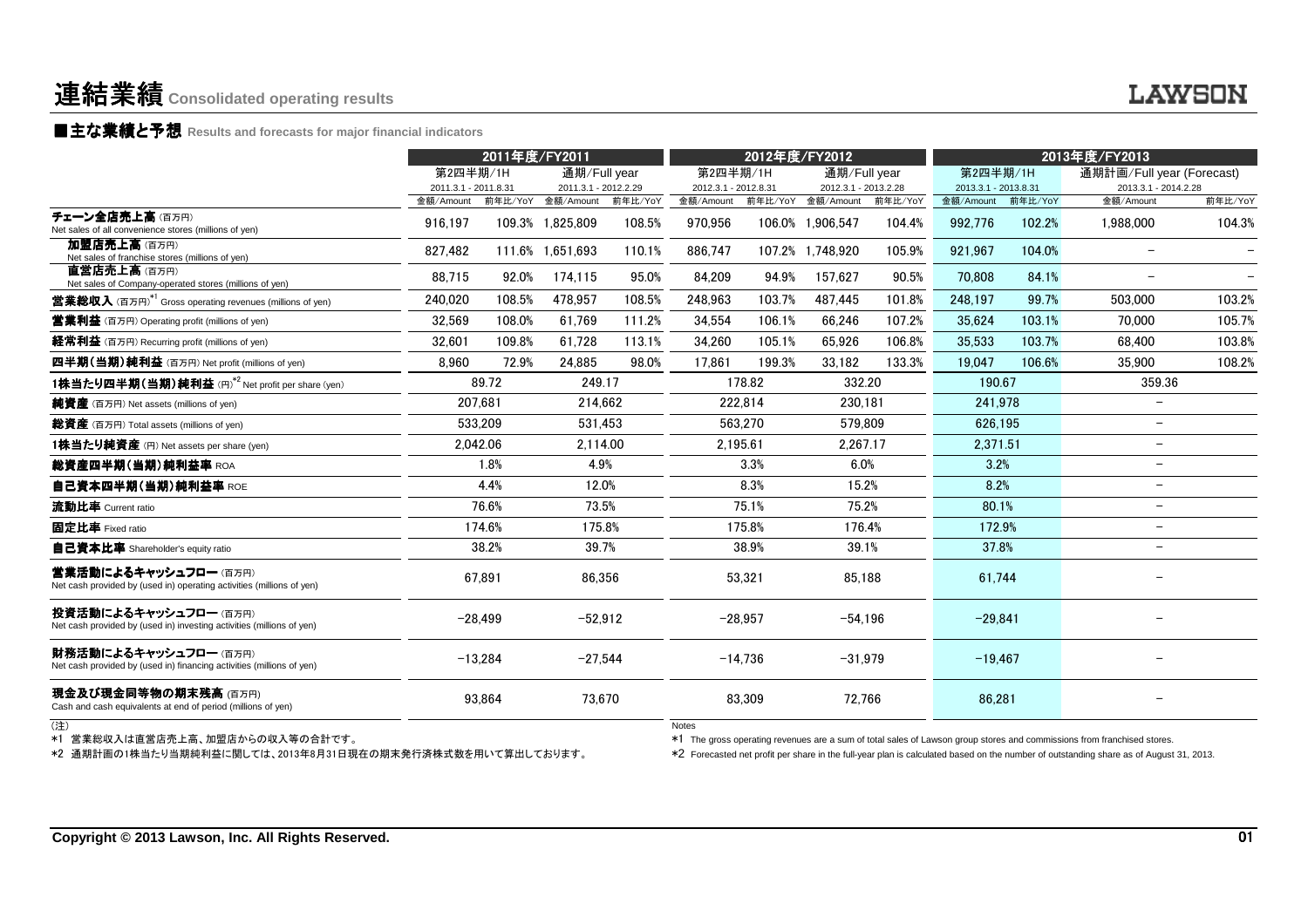### ■主な業績と予想 **Results and forecasts for major financial indicators**

|                                                                                                | 2011年度/FY2011                     |         |                                                            |         | 2012年度/FY2012                     |           |                                   | 2013年度/FY2013 |                                   |         |                                                                                                                                                                                                                                                                   |         |
|------------------------------------------------------------------------------------------------|-----------------------------------|---------|------------------------------------------------------------|---------|-----------------------------------|-----------|-----------------------------------|---------------|-----------------------------------|---------|-------------------------------------------------------------------------------------------------------------------------------------------------------------------------------------------------------------------------------------------------------------------|---------|
|                                                                                                | 第2四半期/1H                          |         | 通期/Full year                                               |         | 第2四半期/1H                          |           | 通期/Full year                      |               | 第2四半期/1H                          |         | 通期計画/Full year (Forecast)                                                                                                                                                                                                                                         |         |
|                                                                                                | 2011.3.1 - 2011.8.31<br>金額/Amount | 前年比/YoY | 2011.3.1 - 2012.2.29<br>金額/Amount                          | 前年比/YoY | 2012.3.1 - 2012.8.31<br>金額/Amount | 前年比/YoY   | 2012.3.1 - 2013.2.28<br>金額/Amount | 前年比/YoY       | 2013.3.1 - 2013.8.31<br>金額/Amount | 前年比/YoY | 2013.3.1 - 2014.2.28<br>金額/Amount                                                                                                                                                                                                                                 | 前年比/YoY |
| チェーン全店売上高(百万円)<br>Net sales of all convenience stores (millions of yen)                        | 916.197                           |         | 109.3% 1.825.809                                           | 108.5%  | 970,956                           |           | 106.0% 1.906.547                  | 104.4%        | 992,776                           | 102.2%  | 1,988,000                                                                                                                                                                                                                                                         | 104.3%  |
| 加盟店売上高(百万円)<br>Net sales of franchise stores (millions of yen)                                 | 827,482                           |         | 111.6% 1,651,693                                           | 110.1%  | 886,747                           |           | 107.2% 1,748,920                  | 105.9%        | 921,967                           | 104.0%  | $\overline{\phantom{m}}$                                                                                                                                                                                                                                          |         |
| 直営店売上高(百万円)<br>Net sales of Company-operated stores (millions of yen)                          | 88,715                            | 92.0%   | 174,115                                                    | 95.0%   | 84,209                            | 94.9%     | 157.627                           | 90.5%         | 70.808                            | 84.1%   |                                                                                                                                                                                                                                                                   |         |
| <b>営業総収入</b> (百万円) <sup>*1</sup> Gross operating revenues (millions of yen)                    | 240,020                           | 108.5%  | 478,957                                                    | 108.5%  | 248.963                           | 103.7%    | 487.445                           | 101.8%        | 248.197                           | 99.7%   | 503,000                                                                                                                                                                                                                                                           | 103.2%  |
| <b>営業利益</b> (百万円) Operating profit (millions of yen)                                           | 32,569                            | 108.0%  | 61,769                                                     | 111.2%  | 34.554                            | 106.1%    | 66.246                            | 107.2%        | 35,624                            | 103.1%  | 70.000                                                                                                                                                                                                                                                            | 105.7%  |
| 経常利益 (百万円) Recurring profit (millions of yen)                                                  | 32,601                            | 109.8%  | 61,728                                                     | 113.1%  | 34,260                            | 105.1%    | 65,926                            | 106.8%        | 35,533                            | 103.7%  | 68,400                                                                                                                                                                                                                                                            | 103.8%  |
| 四半期(当期)純利益 (百万円) Net profit (millions of yen)                                                  | 8,960                             | 72.9%   | 24,885                                                     | 98.0%   | 17,861                            | 199.3%    | 33,182                            | 133.3%        | 19,047                            | 106.6%  | 35,900                                                                                                                                                                                                                                                            | 108.2%  |
| 1株当たり四半期(当期)純利益 (円)*2 Net profit per share (yen)                                               |                                   | 89.72   | 249.17                                                     |         |                                   | 178.82    | 332.20                            |               | 190.67                            |         | 359.36                                                                                                                                                                                                                                                            |         |
| 純資産 (百万円) Net assets (millions of yen)                                                         | 207,681                           |         | 214,662                                                    |         |                                   | 222,814   | 230,181                           |               | 241,978                           |         | $\overline{\phantom{m}}$                                                                                                                                                                                                                                          |         |
| 総資産 (百万円) Total assets (millions of yen)                                                       | 533.209                           |         | 531.453                                                    |         |                                   | 563,270   | 579.809                           |               | 626.195                           |         | $\overline{\phantom{a}}$                                                                                                                                                                                                                                          |         |
| 1株当たり純資産 (円) Net assets per share (yen)                                                        | 2,042.06                          |         | 2,114.00                                                   |         | 2,195.61                          |           | 2.267.17                          |               | 2,371.51                          |         | $\overline{\phantom{0}}$                                                                                                                                                                                                                                          |         |
| 総資産四半期(当期)純利益率 ROA                                                                             |                                   | 1.8%    | 4.9%                                                       |         |                                   | 3.3%      | 6.0%                              |               | 3.2%                              |         | $\!-$                                                                                                                                                                                                                                                             |         |
| 自己資本四半期(当期)純利益率 ROE                                                                            |                                   | 4.4%    | 12.0%                                                      |         |                                   | 8.3%      | 15.2%                             |               | 8.2%                              |         | $\overline{\phantom{a}}$                                                                                                                                                                                                                                          |         |
| 流動比率 Current ratio                                                                             |                                   | 76.6%   | 73.5%                                                      |         |                                   | 75.1%     | 75.2%                             |               | 80.1%                             |         | $\overline{\phantom{m}}$                                                                                                                                                                                                                                          |         |
| 固定比率 Fixed ratio                                                                               |                                   | 174.6%  | 175.8%                                                     |         |                                   | 175.8%    | 176.4%                            |               | 172.9%                            |         | $\overline{\phantom{0}}$                                                                                                                                                                                                                                          |         |
| <b>自己資本比率</b> Shareholder's equity ratio                                                       |                                   | 38.2%   | 39.7%                                                      |         |                                   | 38.9%     | 39.1%                             |               | 37.8%                             |         | $\overline{\phantom{a}}$                                                                                                                                                                                                                                          |         |
| 営業活動によるキャッシュフロー (百万円)<br>Net cash provided by (used in) operating activities (millions of yen) |                                   | 67.891  | 86.356                                                     |         |                                   | 53.321    | 85.188                            |               | 61.744                            |         |                                                                                                                                                                                                                                                                   |         |
| 投資活動によるキャッシュフロー (百万円)<br>Net cash provided by (used in) investing activities (millions of yen) | $-28,499$                         |         | $-52,912$                                                  |         |                                   | $-28,957$ | $-54,196$                         |               | $-29,841$                         |         |                                                                                                                                                                                                                                                                   |         |
| 財務活動によるキャッシュフロー (百万円)<br>Net cash provided by (used in) financing activities (millions of yen) | $-13,284$                         |         | $-27,544$                                                  |         |                                   | $-14,736$ | $-31,979$                         |               | $-19,467$                         |         |                                                                                                                                                                                                                                                                   |         |
| 現金及び現金同等物の期末残高 (百万円)<br>Cash and cash equivalents at end of period (millions of yen)           |                                   | 93,864  | 73,670                                                     |         |                                   | 83,309    | 72,766                            |               | 86,281                            |         |                                                                                                                                                                                                                                                                   |         |
| (注)                                                                                            |                                   |         | *2 通期計画の1株当たり当期純利益に関しては、2013年8月31日現在の期末発行済株式数を用いて算出しております。 |         | <b>Notes</b>                      |           |                                   |               |                                   |         | *1 The gross operating revenues are a sum of total sales of Lawson group stores and commissions from franchised stores.<br>*2 Forecasted net profit per share in the full-year plan is calculated based on the number of outstanding share as of August 31, 2013. |         |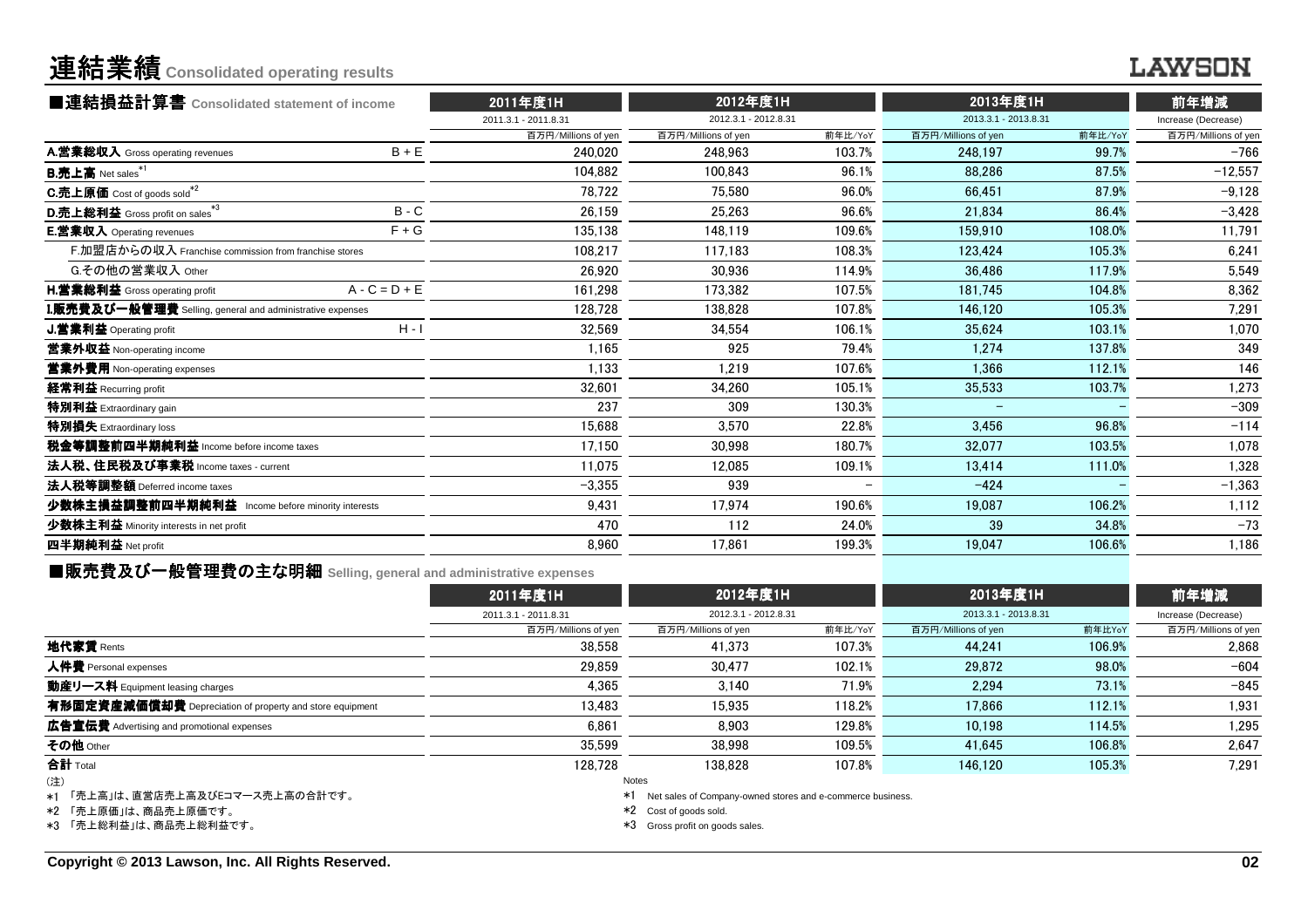### **LAWSON**

| ■連結損益計算書 Consolidated statement of income                 |                 | 2011年度1H             | 2012年度1H             |         | 2013年度1H             |         | 前年増減                |  |
|-----------------------------------------------------------|-----------------|----------------------|----------------------|---------|----------------------|---------|---------------------|--|
|                                                           |                 | 2011.3.1 - 2011.8.31 | 2012.3.1 - 2012.8.31 |         | 2013.3.1 - 2013.8.31 |         | Increase (Decrease) |  |
|                                                           |                 | 百万円/Millions of yen  | 百万円/Millions of yen  | 前年比/YoY | 百万円/Millions of yen  | 前年比/YoY | 百万円/Millions of yen |  |
| A.営業総収入 Gross operating revenues                          | $B + E$         | 240.020              | 248.963              | 103.7%  | 248.197              | 99.7%   | $-766$              |  |
| <b>B.売上高</b> Net sales*1                                  |                 | 104,882              | 100.843              | 96.1%   | 88.286               | 87.5%   | $-12,557$           |  |
| C.売上原価 Cost of goods sold <sup>*2</sup>                   |                 | 78.722               | 75.580               | 96.0%   | 66.451               | 87.9%   | $-9,128$            |  |
| D.売上総利益 Gross profit on sales*3                           | $B - C$         | 26,159               | 25,263               | 96.6%   | 21,834               | 86.4%   | $-3,428$            |  |
| <b>E.営業収入</b> Operating revenues                          | $F + G$         | 135,138              | 148.119              | 109.6%  | 159.910              | 108.0%  | 11,791              |  |
| F.加盟店からの収入 Franchise commission from franchise stores     |                 | 108.217              | 117.183              | 108.3%  | 123,424              | 105.3%  | 6,241               |  |
| G.その他の営業収入 Other                                          |                 | 26.920               | 30.936               | 114.9%  | 36.486               | 117.9%  | 5,549               |  |
| H.営業総利益 Gross operating profit                            | $A - C = D + E$ | 161,298              | 173.382              | 107.5%  | 181,745              | 104.8%  | 8,362               |  |
| I.販売費及び一般管理費 Selling, general and administrative expenses |                 | 128,728              | 138.828              | 107.8%  | 146,120              | 105.3%  | 7,291               |  |
| J.営業利益 Operating profit                                   | $H - I$         | 32,569               | 34.554               | 106.1%  | 35.624               | 103.1%  | 1,070               |  |
| 営業外収益 Non-operating income                                |                 | 1.165                | 925                  | 79.4%   | 1.274                | 137.8%  | 349                 |  |
| 営業外費用 Non-operating expenses                              |                 | 1.133                | 1.219                | 107.6%  | 1.366                | 112.1%  | 146                 |  |
| 経常利益 Recurring profit                                     |                 | 32,601               | 34.260               | 105.1%  | 35.533               | 103.7%  | 1,273               |  |
| 特別利益 Extraordinary gain                                   |                 | 237                  | 309                  | 130.3%  |                      |         | $-309$              |  |
| 特別損失 Extraordinary loss                                   |                 | 15,688               | 3,570                | 22.8%   | 3.456                | 96.8%   | $-114$              |  |
| 税金等調整前四半期純利益 Income before income taxes                   |                 | 17.150               | 30.998               | 180.7%  | 32.077               | 103.5%  | 1,078               |  |
| 法人税、住民税及び事業税 Income taxes - current                       |                 | 11,075               | 12.085               | 109.1%  | 13.414               | 111.0%  | 1,328               |  |
| 法人税等調整額 Deferred income taxes                             |                 | $-3,355$             | 939                  |         | $-424$               |         | $-1,363$            |  |
| 少数株主損益調整前四半期純利益 Income before minority interests          |                 | 9.431                | 17,974               | 190.6%  | 19,087               | 106.2%  | 1,112               |  |
| 少数株主利益 Minority interests in net profit                   |                 | 470                  | 112                  | 24.0%   | 39                   | 34.8%   | $-73$               |  |
| 四半期純利益 Net profit                                         |                 | 8,960                | 17,861               | 199.3%  | 19.047               | 106.6%  | 1,186               |  |
|                                                           |                 |                      |                      |         |                      |         |                     |  |

■販売費及び一般管理費の主な明細 **Selling, general and administrative expenses**

|                                                          | 2011年度1H             | 2012年度1H                                                      |         | 2013年度1H             |        | 前年増減                |
|----------------------------------------------------------|----------------------|---------------------------------------------------------------|---------|----------------------|--------|---------------------|
|                                                          | 2011.3.1 - 2011.8.31 | 2012.3.1 - 2012.8.31                                          |         | 2013.3.1 - 2013.8.31 |        | Increase (Decrease) |
|                                                          | 百万円/Millions of yen  | 百万円/Millions of yen                                           | 前年比/YoY | 百万円/Millions of yen  | 前年比YoY | 百万円/Millions of yen |
| 地代家賃 Rents                                               | 38,558               | 41.373                                                        | 107.3%  | 44.241               | 106.9% | 2.868               |
| 人件費 Personal expenses                                    | 29.859               | 30.477                                                        | 102.1%  | 29.872               | 98.0%  | $-604$              |
| 動産リース料 Equipment leasing charges                         | 4.365                | 3.140                                                         | 71.9%   | 2.294                | 73.1%  | $-845$              |
| 有形固定資産減価償却費 Depreciation of property and store equipment | 13.483               | 15.935                                                        | 118.2%  | 17.866               | 112.1% | 1,931               |
| 広告宣伝費 Advertising and promotional expenses               | 6.861                | 8.903                                                         | 129.8%  | 10.198               | 114.5% | 1,295               |
| その他 Other                                                | 35,599               | 38.998                                                        | 109.5%  | 41.645               | 106.8% | 2,647               |
| 合計 Total                                                 | 128.728              | 138.828                                                       | 107.8%  | 146.120              | 105.3% | 7.291               |
| (注)                                                      |                      | Notes                                                         |         |                      |        |                     |
| *1 「売上高」は、直営店売上高及びEコマース売上高の合計です。                         |                      | *1 Net sales of Company-owned stores and e-commerce business. |         |                      |        |                     |

\*2 「売上原価」は、商品売上原価です。

\*3 「売上総利益」は、商品売上総利益です。

\*2 Cost of goods sold.

\*3 Gross profit on goods sales.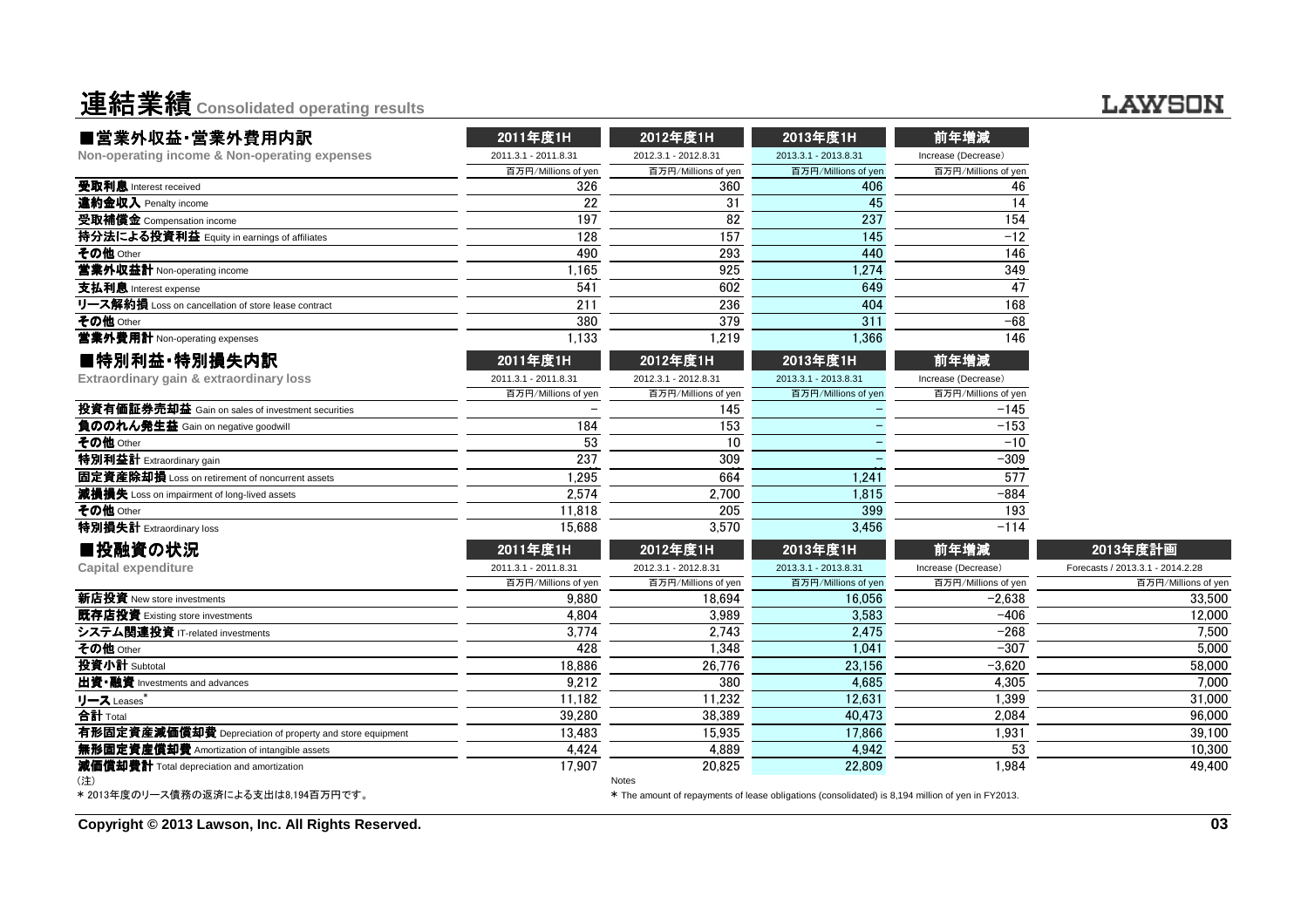| ■営業外収益·営業外費用内訳                                           | 2011年度1H             | 2012年度1H             | 2013年度1H                                                                                          | 前年増減                |                                  |
|----------------------------------------------------------|----------------------|----------------------|---------------------------------------------------------------------------------------------------|---------------------|----------------------------------|
| Non-operating income & Non-operating expenses            | 2011.3.1 - 2011.8.31 | 2012.3.1 - 2012.8.31 | 2013.3.1 - 2013.8.31                                                                              | Increase (Decrease) |                                  |
|                                                          | 百万円/Millions of yen  | 百万円/Millions of yen  | 百万円/Millions of yen                                                                               | 百万円/Millions of yen |                                  |
| 受取利息 Interest received                                   | 326                  | 360                  | 406                                                                                               | 46                  |                                  |
| 違約金収入 Penalty income                                     | 22                   | 31                   | 45                                                                                                | 14                  |                                  |
| 受取補償金 Compensation income                                | 197                  | 82                   | 237                                                                                               | 154                 |                                  |
| 持分法による投資利益 Equity in earnings of affiliates              | 128                  | 157                  | 145                                                                                               | $-12$               |                                  |
| その他 Other                                                | 490                  | 293                  | 440                                                                                               | 146                 |                                  |
| 営業外収益計 Non-operating income                              | 1,165                | 925                  | 1,274                                                                                             | 349                 |                                  |
| 支払利息 Interest expense                                    | 541                  | 602                  | 649                                                                                               | 47                  |                                  |
| リース解約損 Loss on cancellation of store lease contract      | 211                  | 236                  | 404                                                                                               | 168                 |                                  |
| その他 Other                                                | 380                  | 379                  | 311                                                                                               | -68                 |                                  |
| 営業外費用計 Non-operating expenses                            | 1,133                | 1,219                | 1,366                                                                                             | 146                 |                                  |
| ■特別利益·特別損失内訳                                             | 2011年度1H             | 2012年度1H             | 2013年度1H                                                                                          | 前年増減                |                                  |
| Extraordinary gain & extraordinary loss                  | 2011.3.1 - 2011.8.31 | 2012.3.1 - 2012.8.31 | 2013.3.1 - 2013.8.31                                                                              | Increase (Decrease) |                                  |
|                                                          | 百万円/Millions of yen  | 百万円/Millions of yen  | 百万円/Millions of yen                                                                               | 百万円/Millions of yen |                                  |
| <b>投資有価証券売却益</b> Gain on sales of investment securities  |                      | 145                  |                                                                                                   | $-145$              |                                  |
| 負ののれん発生益 Gain on negative goodwill                       | 184                  | 153                  |                                                                                                   | $-153$              |                                  |
| その他 Other                                                | 53                   | 10                   |                                                                                                   | $-10$               |                                  |
| <b>特別利益計</b> Extraordinary gain                          | 237                  | 309                  |                                                                                                   | $-309$              |                                  |
| 固定資産除却損 Loss on retirement of noncurrent assets          | 1,295                | 664                  | 1,241                                                                                             | 577                 |                                  |
| 減損損失 Loss on impairment of long-lived assets             | 2,574                | 2.700                | 1.815                                                                                             | $-884$              |                                  |
| その他 <sub>Other</sub>                                     | 11,818               | 205                  | 399                                                                                               | 193                 |                                  |
| 特別損失計 Extraordinary loss                                 | 15,688               | 3,570                | 3,456                                                                                             | $-114$              |                                  |
| ■投融資の状況                                                  | 2011年度1H             | 2012年度1H             | 2013年度1H                                                                                          | 前年増減                | 2013年度計画                         |
| Capital expenditure                                      | 2011.3.1 - 2011.8.31 | 2012.3.1 - 2012.8.31 | 2013.3.1 - 2013.8.31                                                                              | Increase (Decrease) | Forecasts / 2013.3.1 - 2014.2.28 |
|                                                          | 百万円/Millions of yen  | 百万円/Millions of yen  | 百万円/Millions of yen                                                                               | 百万円/Millions of yen | 百万円/Millions of yer              |
| 新店投資 New store investments                               | 9.880                | 18.694               | 16.056                                                                                            | $-2.638$            | 33,500                           |
| 既存店投資 Existing store investments                         | 4,804                | 3,989                | 3,583                                                                                             | $-406$              | 12,000                           |
| システム関連投資 IT-related investments                          | 3,774                | 2,743                | 2,475                                                                                             | $-268$              | 7,500                            |
| その他 Other                                                | 428                  | 1.348                | 1.041                                                                                             | $-307$              | 5.000                            |
| 投資小計 Subtotal                                            | 18.886               | 26.776               | 23.156                                                                                            | $-3,620$            | 58,000                           |
| 出資•融資 Investments and advances                           | 9,212                | 380                  | 4,685                                                                                             | 4,305               | 7,000                            |
| <u>リース Leases *</u>                                      | 11,182               | 11,232               | 12,631                                                                                            | 1,399               | 31,000                           |
| 合計 Total                                                 | 39,280               | 38,389               | 40,473                                                                                            | 2,084               | 96,000                           |
| 有形固定資産減価償却費 Depreciation of property and store equipment | 13,483               | 15,935               | 17,866                                                                                            | 1,931               | 39,100                           |
| <b>無形固定資産償却費</b> Amortization of intangible assets       | 4,424                | 4,889                | 4,942                                                                                             | 53                  | 10,300                           |
| 減価償却費計 Total depreciation and amortization               | 17.907               | 20.825<br>Notes      | 22.809                                                                                            | 1.984               | 49.400                           |
| * 2013年度のリース債務の返済による支出は8,194百万円です。                       |                      |                      | * The amount of repayments of lease obligations (consolidated) is 8,194 million of yen in FY2013. |                     |                                  |

**Copyright © 2013 Lawson, Inc. All Rights Reserved.**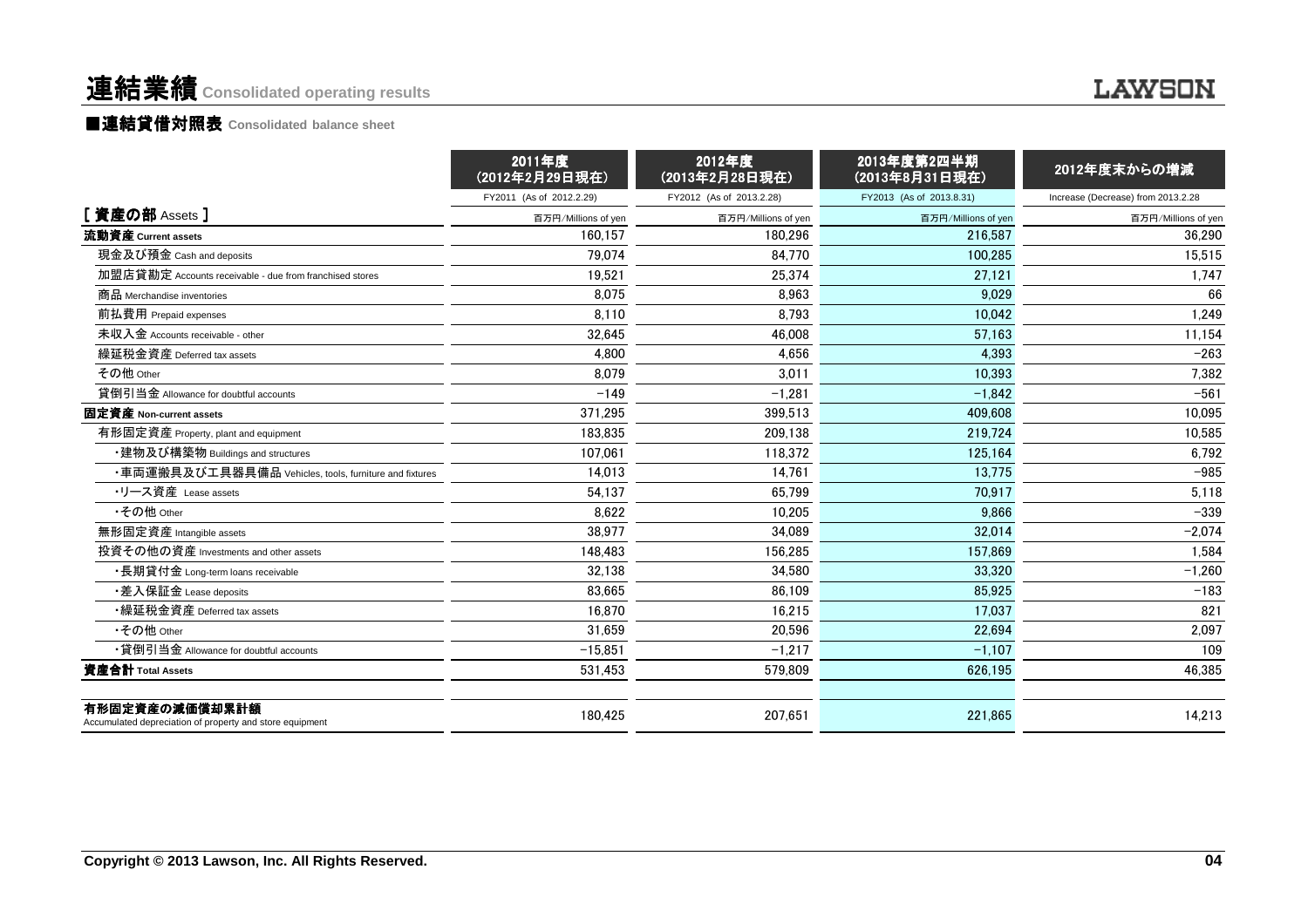#### **LAWSON**

#### ■連結貸借対照表 Consolidated balance sheet

|                                                                            | 2011年度<br>(2012年2月29日現在) | 2012年度<br>(2013年2月28日現在) | 2013年度第2四半期<br>(2013年8月31日現在) | 2012年度末からの増減                       |
|----------------------------------------------------------------------------|--------------------------|--------------------------|-------------------------------|------------------------------------|
|                                                                            | FY2011 (As of 2012.2.29) | FY2012 (As of 2013.2.28) | FY2013 (As of 2013.8.31)      | Increase (Decrease) from 2013.2.28 |
| [資産の部 Assets]                                                              | 百万円/Millions of yen      | 百万円/Millions of yen      | 百万円/Millions of yen           | 百万円/Millions of yen                |
| 流動資産 Current assets                                                        | 160.157                  | 180.296                  | 216,587                       | 36.290                             |
| 現金及び預金 Cash and deposits                                                   | 79,074                   | 84.770                   | 100.285                       | 15.515                             |
| 加盟店貸勘定 Accounts receivable - due from franchised stores                    | 19,521                   | 25,374                   | 27,121                        | 1,747                              |
| 商品 Merchandise inventories                                                 | 8.075                    | 8.963                    | 9.029                         | 66                                 |
| 前払費用 Prepaid expenses                                                      | 8,110                    | 8,793                    | 10,042                        | 1,249                              |
| 未収入金 Accounts receivable - other                                           | 32,645                   | 46.008                   | 57.163                        | 11,154                             |
| 繰延税金資産 Deferred tax assets                                                 | 4,800                    | 4,656                    | 4,393                         | $-263$                             |
| その他 Other                                                                  | 8.079                    | 3.011                    | 10.393                        | 7,382                              |
| 貸倒引当金 Allowance for doubtful accounts                                      | $-149$                   | $-1.281$                 | $-1.842$                      | $-561$                             |
| 固定資産 Non-current assets                                                    | 371,295                  | 399,513                  | 409.608                       | 10,095                             |
| 有形固定資産 Property, plant and equipment                                       | 183.835                  | 209.138                  | 219.724                       | 10,585                             |
| ・建物及び構築物 Buildings and structures                                          | 107,061                  | 118,372                  | 125,164                       | 6,792                              |
| ・車両運搬具及び工具器具備品 Vehicles, tools, furniture and fixtures                     | 14.013                   | 14,761                   | 13.775                        | $-985$                             |
| ・リース資産 Lease assets                                                        | 54,137                   | 65.799                   | 70.917                        | 5,118                              |
| •その他 Other                                                                 | 8.622                    | 10.205                   | 9.866                         | $-339$                             |
| 無形固定資産 Intangible assets                                                   | 38.977                   | 34.089                   | 32.014                        | $-2,074$                           |
| 投資その他の資産 Investments and other assets                                      | 148.483                  | 156,285                  | 157,869                       | 1,584                              |
| ・長期貸付金 Long-term loans receivable                                          | 32,138                   | 34,580                   | 33.320                        | $-1,260$                           |
| •差入保証金 Lease deposits                                                      | 83.665                   | 86.109                   | 85.925                        | $-183$                             |
| •繰延税金資産 Deferred tax assets                                                | 16,870                   | 16,215                   | 17,037                        | 821                                |
| •その他 Other                                                                 | 31.659                   | 20.596                   | 22.694                        | 2,097                              |
| • 貸倒引当金 Allowance for doubtful accounts                                    | $-15,851$                | $-1,217$                 | $-1,107$                      | 109                                |
| 資産合計 Total Assets                                                          | 531,453                  | 579.809                  | 626.195                       | 46,385                             |
| 有形固定資産の減価償却累計額<br>Accumulated depreciation of property and store equipment | 180,425                  | 207,651                  | 221,865                       | 14,213                             |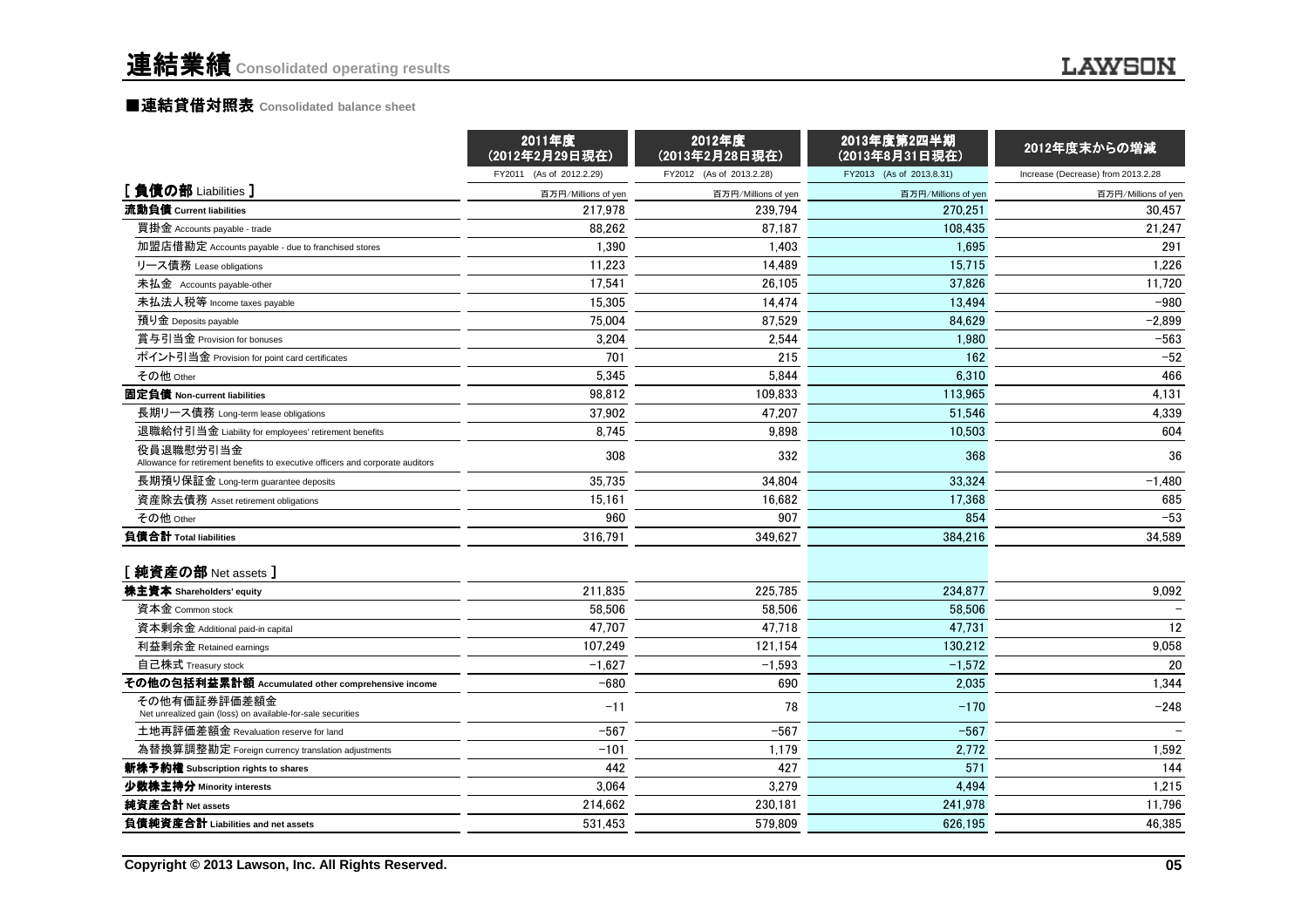|                                                                                             | 2011年度<br>(2012年2月29日現在) | 2012年度<br>(2013年2月28日現在) | 2013年度第2四半期<br>(2013年8月31日現在) | 2012年度末からの増減                       |
|---------------------------------------------------------------------------------------------|--------------------------|--------------------------|-------------------------------|------------------------------------|
|                                                                                             | FY2011 (As of 2012.2.29) | FY2012 (As of 2013.2.28) | FY2013 (As of 2013.8.31)      | Increase (Decrease) from 2013.2.28 |
| [負債の部 Liabilities]                                                                          | 百万円/Millions of yen      | 百万円/Millions of yen      | 百万円/Millions of yen           | 百万円/Millions of yen                |
| 流動負債 Current liabilities                                                                    | 217.978                  | 239.794                  | 270.251                       | 30.457                             |
| 買掛金 Accounts payable - trade                                                                | 88,262                   | 87,187                   | 108,435                       | 21,247                             |
| 加盟店借勘定 Accounts payable - due to franchised stores                                          | 1.390                    | 1.403                    | 1.695                         | 291                                |
| リース債務 Lease obligations                                                                     | 11,223                   | 14,489                   | 15.715                        | 1,226                              |
| 未払金 Accounts payable-other                                                                  | 17,541                   | 26,105                   | 37,826                        | 11,720                             |
| 未払法人税等 Income taxes payable                                                                 | 15,305                   | 14,474                   | 13.494                        | $-980$                             |
| 預り金 Deposits payable                                                                        | 75,004                   | 87,529                   | 84,629                        | $-2,899$                           |
| 賞与引当金 Provision for bonuses                                                                 | 3.204                    | 2.544                    | 1.980                         | $-563$                             |
| ポイント引当金 Provision for point card certificates                                               | 701                      | 215                      | 162                           | $-52$                              |
| その他 Other                                                                                   | 5,345                    | 5,844                    | 6,310                         | 466                                |
| 固定負債 Non-current liabilities                                                                | 98.812                   | 109,833                  | 113,965                       | 4,131                              |
| 長期リース債務 Long-term lease obligations                                                         | 37,902                   | 47,207                   | 51,546                        | 4,339                              |
| 退職給付引当金 Liability for employees' retirement benefits                                        | 8.745                    | 9.898                    | 10.503                        | 604                                |
| 役員退職慰労引当金<br>Allowance for retirement benefits to executive officers and corporate auditors | 308                      | 332                      | 368                           | 36                                 |
| 長期預り保証金 Long-term guarantee deposits                                                        | 35,735                   | 34.804                   | 33.324                        | $-1,480$                           |
| 資産除去債務 Asset retirement obligations                                                         | 15,161                   | 16,682                   | 17,368                        | 685                                |
| その他 Other                                                                                   | 960                      | 907                      | 854                           | $-53$                              |
| 負債合計 Total liabilities                                                                      | 316,791                  | 349,627                  | 384,216                       | 34,589                             |
| [ 純資産の部 Net assets ]                                                                        |                          |                          |                               |                                    |
| 株主資本 Shareholders' equity                                                                   | 211,835                  | 225,785                  | 234,877                       | 9,092                              |
| 資本金 Common stock                                                                            | 58.506                   | 58.506                   | 58.506                        |                                    |
| 資本剰余金 Additional paid-in capital                                                            | 47.707                   | 47,718                   | 47,731                        | 12                                 |
| 利益剰余金 Retained earnings                                                                     | 107.249                  | 121.154                  | 130.212                       | 9,058                              |
| 自己株式 Treasury stock                                                                         | $-1,627$                 | $-1,593$                 | $-1,572$                      | 20                                 |
| その他の包括利益累計額 Accumulated other comprehensive income                                          | $-680$                   | 690                      | 2,035                         | 1,344                              |
| その他有価証券評価差額金<br>Net unrealized gain (loss) on available-for-sale securities                 | $-11$                    | 78                       | $-170$                        | $-248$                             |
| 土地再評価差額金 Revaluation reserve for land                                                       | $-567$                   | $-567$                   | $-567$                        |                                    |
| 為替換算調整勘定 Foreign currency translation adjustments                                           | $-101$                   | 1,179                    | 2,772                         | 1,592                              |
| 新株予約権 Subscription rights to shares                                                         | 442                      | 427                      | 571                           | 144                                |
| 少数株主持分 Minority interests                                                                   | 3,064                    | 3,279                    | 4,494                         | 1,215                              |
| 純資産合計 Net assets                                                                            | 214,662                  | 230,181                  | 241,978                       | 11,796                             |
| 負債純資産合計 Liabilities and net assets                                                          | 531,453                  | 579,809                  | 626,195                       | 46,385                             |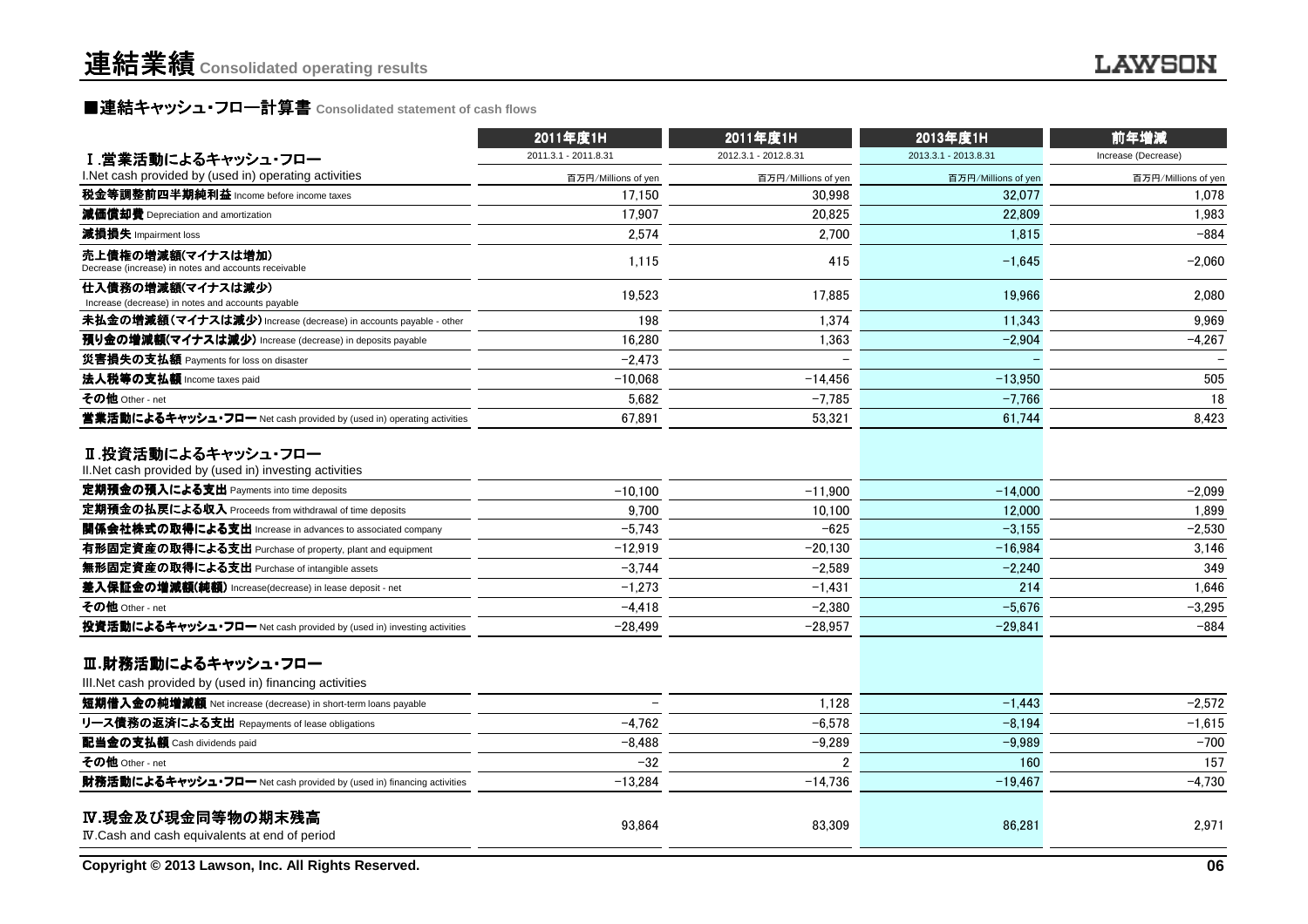## ■連結キャッシュ・フロー計算書 Consolidated statement of cash flows<br>————————————————————

|                                                                                                                           | 2011年度1H<br>2011年度1H |                      | 2013年度1H             | 前年増減                |  |
|---------------------------------------------------------------------------------------------------------------------------|----------------------|----------------------|----------------------|---------------------|--|
| Ⅰ.営業活動によるキャッシュ・フロー                                                                                                        | 2011.3.1 - 2011.8.31 | 2012.3.1 - 2012.8.31 | 2013.3.1 - 2013.8.31 | Increase (Decrease) |  |
| I. Net cash provided by (used in) operating activities                                                                    | 百万円/Millions of yen  | 百万円/Millions of yen  | 百万円/Millions of yen  | 百万円/Millions of yen |  |
| <b>税金等調整前四半期純利益</b> Income before income taxes                                                                            | 17.150               | 30.998               | 32.077               | 1.078               |  |
| 減価償却費 Depreciation and amortization                                                                                       | 17,907               | 20.825               | 22,809               | 1,983               |  |
| 減損損失 Impairment loss                                                                                                      | 2.574                | 2,700                | 1,815                | $-884$              |  |
| 売上債権の増減額(マイナスは増加)<br>Decrease (increase) in notes and accounts receivable                                                 | 1,115                | 415                  | $-1,645$             | $-2,060$            |  |
| 仕入債務の増減額(マイナスは減少)<br>Increase (decrease) in notes and accounts payable                                                    | 19,523               | 17,885               | 19,966               | 2,080               |  |
| 未払金の増減額(マイナスは減少) Increase (decrease) in accounts payable - other                                                          | 198                  | 1,374                | 11,343               | 9,969               |  |
| 預り金の増減額(マイナスは減少) Increase (decrease) in deposits payable                                                                  | 16.280               | 1,363                | $-2,904$             | $-4,267$            |  |
| 災害損失の支払額 Payments for loss on disaster                                                                                    | $-2,473$             |                      |                      |                     |  |
| 法人税等の支払額 Income taxes paid                                                                                                | $-10,068$            | $-14,456$            | $-13,950$            | 505                 |  |
| その他 Other - net                                                                                                           | 5,682                | $-7,785$             | $-7,766$             | 18                  |  |
| 営業活動によるキャッシュ・フロー Net cash provided by (used in) operating activities                                                      | 67,891               | 53,321               | 61,744               | 8,423               |  |
| Ⅱ.投資活動によるキャッシュ・フロー<br>II. Net cash provided by (used in) investing activities<br>定期預金の預入による支出 Payments into time deposits | $-10.100$            | $-11.900$            | $-14,000$            | $-2.099$            |  |
| 定期預金の払戻による収入 Proceeds from withdrawal of time deposits                                                                    | 9.700                | 10,100               | 12,000               | 1,899               |  |
| 関係会社株式の取得による支出 Increase in advances to associated company                                                                 | $-5,743$             | $-625$               | $-3.155$             | $-2,530$            |  |
| 有形固定資産の取得による支出 Purchase of property, plant and equipment                                                                  | $-12.919$            | $-20.130$            | $-16.984$            | 3,146               |  |
| 無形固定資産の取得による支出 Purchase of intangible assets                                                                              | $-3,744$             | $-2,589$             | $-2,240$             | 349                 |  |
| 差入保証金の増減額(純額) Increase(decrease) in lease deposit - net                                                                   | $-1.273$             | $-1.431$             | 214                  | 1,646               |  |
| その他 Other - net                                                                                                           | $-4,418$             | $-2.380$             | $-5.676$             | $-3,295$            |  |
| 投資活動によるキャッシュ・フロー Net cash provided by (used in) investing activities                                                      | $-28,499$            | $-28,957$            | $-29,841$            | $-884$              |  |
| Ⅲ.財務活動によるキャッシュ・フロー<br>III. Net cash provided by (used in) financing activities                                            |                      |                      |                      |                     |  |
| 短期借入金の純増減額 Net increase (decrease) in short-term loans payable                                                            |                      | 1,128                | $-1,443$             | $-2,572$            |  |
| リース債務の返済による支出 Repayments of lease obligations                                                                             | $-4.762$             | $-6.578$             | $-8.194$             | $-1,615$            |  |
| 配当金の支払額 Cash dividends paid                                                                                               | -8.488               | $-9.289$             | $-9.989$             | $-700$              |  |
| その他 Other - net                                                                                                           | $-32$                | $\overline{2}$       | 160                  | 157                 |  |
| 財務活動によるキャッシュ・フロー Net cash provided by (used in) financing activities                                                      | $-13.284$            | $-14,736$            | $-19,467$            | $-4,730$            |  |
| IV.現金及び現金同等物の期末残高<br>IV. Cash and cash equivalents at end of period                                                       | 93,864               | 83,309               | 86,281               | 2,971               |  |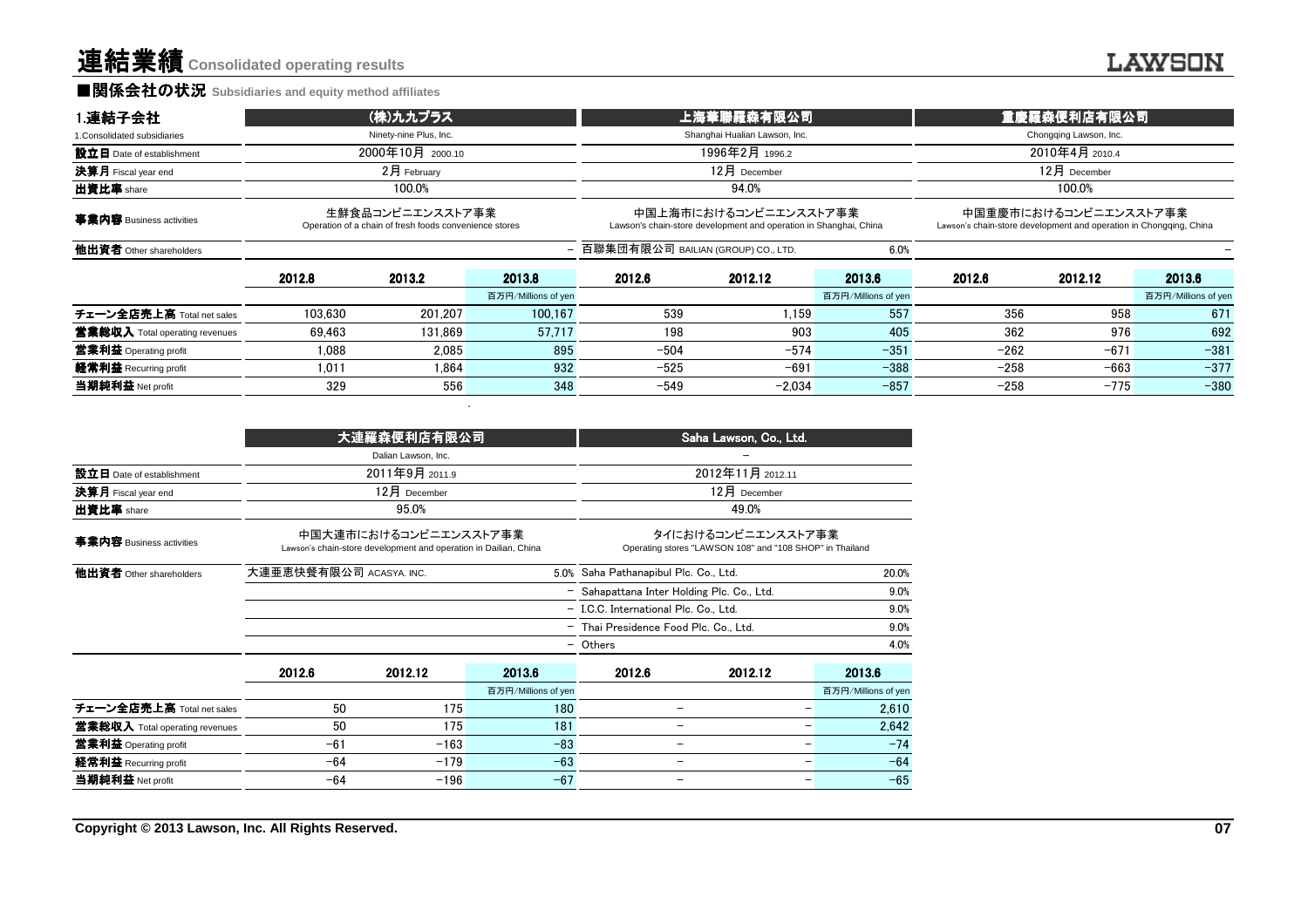#### ■関係会社の状況 **Subsidiaries and equity method affiliates**

| 1.連結子会社                               | (株)九九プラス         |                                                                            |                     | 上海華聯羅森有限公司                           |                                                                                            |                     | 重慶羅森便利店有限公司            |                |                                                                                             |  |
|---------------------------------------|------------------|----------------------------------------------------------------------------|---------------------|--------------------------------------|--------------------------------------------------------------------------------------------|---------------------|------------------------|----------------|---------------------------------------------------------------------------------------------|--|
| 1. Consolidated subsidiaries          |                  | Ninety-nine Plus, Inc.                                                     |                     | Shanghai Hualian Lawson, Inc.        |                                                                                            |                     | Chongqing Lawson, Inc. |                |                                                                                             |  |
| 設立日 Date of establishment             | 2000年10月 2000.10 |                                                                            |                     |                                      | 1996年2月 1996.2                                                                             |                     |                        | 2010年4月 2010.4 |                                                                                             |  |
| 決算月 Fiscal year end                   | $2$ 月 February   |                                                                            |                     | $12月$ December                       |                                                                                            |                     | $12月$ December         |                |                                                                                             |  |
| 出資比率 share                            | 100.0%           |                                                                            |                     |                                      | 94.0%                                                                                      |                     |                        | 100.0%         |                                                                                             |  |
| 事業内容 Business activities              |                  | 生鮮食品コンビニエンスストア事業<br>Operation of a chain of fresh foods convenience stores |                     |                                      | 中国上海市におけるコンビニエンスストア事業<br>Lawson's chain-store development and operation in Shanghai, China |                     |                        |                | 中国重慶市におけるコンビニエンスストア事業<br>Lawson's chain-store development and operation in Chongging, China |  |
| 他出資者 Other shareholders               |                  |                                                                            |                     | - 百聯集団有限公司 BAILIAN (GROUP) CO., LTD. |                                                                                            | 6.0%                |                        |                |                                                                                             |  |
|                                       | 2012.8           | 2013.2                                                                     | 2013.8              | 2012.6                               | 2012.12                                                                                    | 2013.6              | 2012.6                 | 2012.12        | 2013.6                                                                                      |  |
|                                       |                  |                                                                            | 百万円/Millions of yen |                                      |                                                                                            | 百万円/Millions of yen |                        |                | 百万円/Millions of yen                                                                         |  |
| チェーン全店売上高 Total net sales             | 103.630          | 201.207                                                                    | 100.167             | 539                                  | 1.159                                                                                      | 557                 | 356                    | 958            | 671                                                                                         |  |
| <b>営業総収入</b> Total operating revenues | 69.463           | 131.869                                                                    | 57.717              | 198                                  | 903                                                                                        | 405                 | 362                    | 976            | 692                                                                                         |  |
| 営業利益 Operating profit                 | 1.088            | 2.085                                                                      | 895                 | $-504$                               | $-574$                                                                                     | $-351$              | $-262$                 | $-671$         | $-381$                                                                                      |  |
| 経常利益 Recurring profit                 | 1.011            | 1.864                                                                      | 932                 | $-525$                               | $-691$                                                                                     | $-388$              | $-258$                 | $-663$         | $-377$                                                                                      |  |
| 当期純利益 Net profit                      | 329              | 556                                                                        | 348                 | -549                                 | $-2.034$                                                                                   | $-857$              | $-258$                 | $-775$         | $-380$                                                                                      |  |

|                                |                         | 大連羅森便利店有限公司                                                                               |                     | Saha Lawson, Co., Ltd.                      |                                                                                |                     |  |  |
|--------------------------------|-------------------------|-------------------------------------------------------------------------------------------|---------------------|---------------------------------------------|--------------------------------------------------------------------------------|---------------------|--|--|
|                                |                         | Dalian Lawson, Inc.                                                                       |                     |                                             |                                                                                |                     |  |  |
| 設立日 Date of establishment      |                         | 2011年9月 2011.9                                                                            |                     | 2012年11月 2012.11                            |                                                                                |                     |  |  |
| 決算月 Fiscal year end            |                         | 12月 December                                                                              |                     |                                             | 12月 December                                                                   |                     |  |  |
| 出資比率 share                     |                         | 95.0%                                                                                     |                     |                                             | 49.0%                                                                          |                     |  |  |
| 事業内容 Business activities       |                         | 中国大連市におけるコンビニエンスストア事業<br>Lawson's chain-store development and operation in Dailian, China |                     |                                             | タイにおけるコンビニエンスストア事業<br>Operating stores "LAWSON 108" and "108 SHOP" in Thailand |                     |  |  |
| 他出資者 Other shareholders        | 大連亜恵快餐有限公司 ACASYA. INC. |                                                                                           |                     | 5.0% Saha Pathanapibul Plc. Co., Ltd.       |                                                                                |                     |  |  |
|                                |                         |                                                                                           |                     | - Sahapattana Inter Holding Plc. Co., Ltd.  |                                                                                | 9.0%                |  |  |
|                                |                         |                                                                                           |                     | - I.C.C. International Plc. Co., Ltd.       |                                                                                | 9.0%                |  |  |
|                                |                         |                                                                                           | $\qquad \qquad -$   | 9.0%<br>Thai Presidence Food Plc. Co., Ltd. |                                                                                |                     |  |  |
|                                |                         |                                                                                           |                     | 4.0%<br>- Others                            |                                                                                |                     |  |  |
|                                | 2012.6                  | 2012.12                                                                                   | 2013.6              | 2012.6                                      | 2012.12                                                                        | 2013.6              |  |  |
|                                |                         |                                                                                           | 百万円/Millions of yen |                                             |                                                                                | 百万円/Millions of yen |  |  |
| チェーン全店売上高 Total net sales      | 50                      | 175                                                                                       | 180                 | -                                           |                                                                                | 2,610               |  |  |
| 営業総収入 Total operating revenues | 50                      | 175                                                                                       | 181                 | $\qquad \qquad$                             | -                                                                              | 2,642               |  |  |
| 當業利益 Operating profit          | $-61$                   | $-163$                                                                                    | $-83$               | $\overline{\phantom{0}}$                    | -                                                                              | $-74$               |  |  |
| 経常利益 Recurring profit          | $-64$                   | $-179$                                                                                    | $-63$               | $\qquad \qquad -$                           | -                                                                              | $-64$               |  |  |
| 当期純利益 Net profit               | $-64$                   | $-196$                                                                                    | $-67$               |                                             |                                                                                | $-65$               |  |  |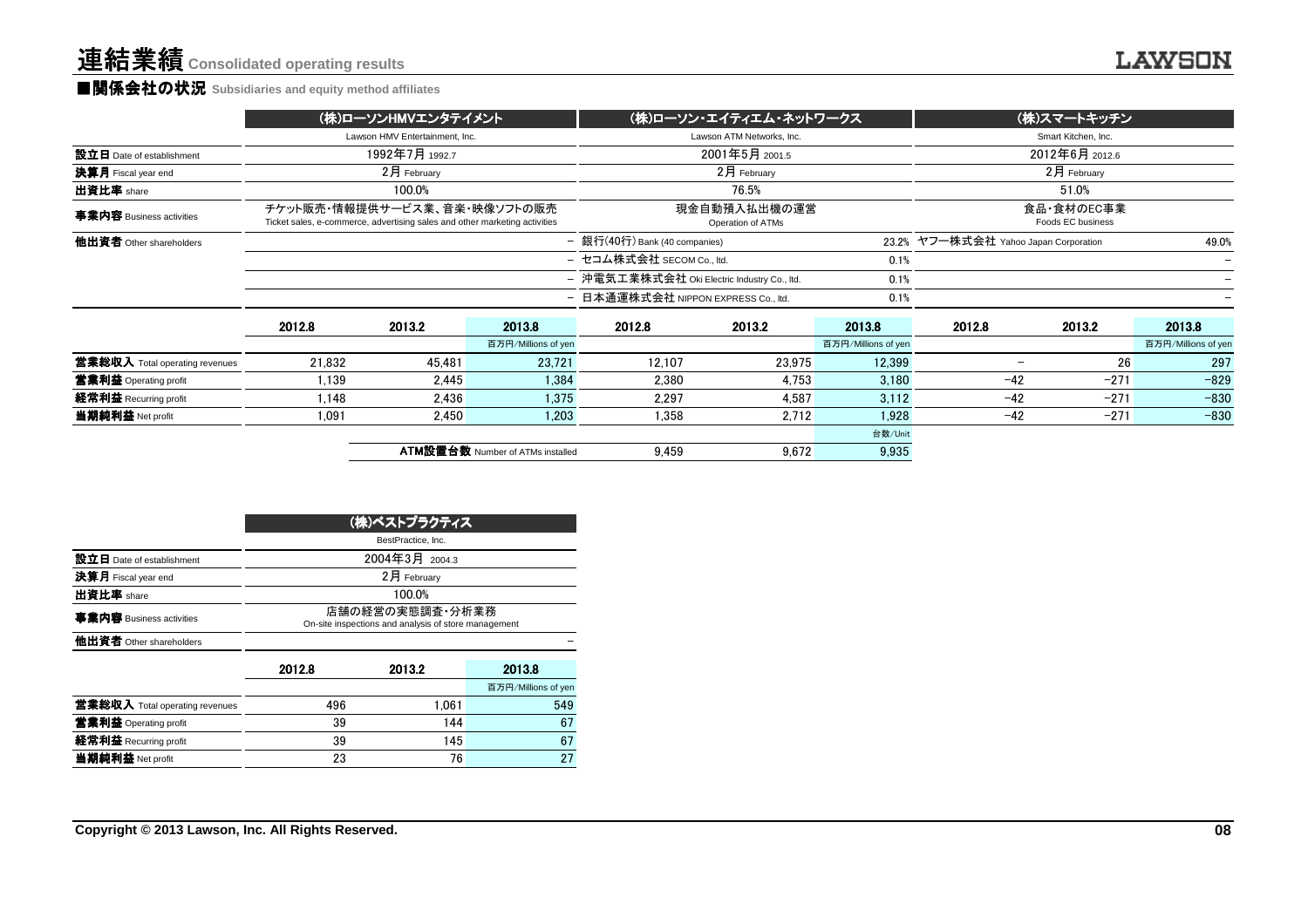設立日 Date of establishment決算月 Fiscal year end出資比率 share **事業内容** Business activities 他出資者 Other shareholders

#### ■関係会社の状況 **Subsidiaries and equity method affiliates**

| <b>U</b> Jubsicialies and equity method annitates                                                          |                                                     |                                                |  |  |  |
|------------------------------------------------------------------------------------------------------------|-----------------------------------------------------|------------------------------------------------|--|--|--|
| (株)ローソンHMVエンタテイメント                                                                                         | (株)ローソン・エイティエム・ネットワークス                              | (株)スマートキッチン                                    |  |  |  |
| Lawson HMV Entertainment. Inc.                                                                             | Lawson ATM Networks, Inc.                           | Smart Kitchen, Inc.                            |  |  |  |
| 1992年7月 1992.7                                                                                             | 2001年5月 2001.5                                      | 2012年6月 2012.6                                 |  |  |  |
| $2月$ February                                                                                              | $2月$ February<br>$2$ 月 February                     |                                                |  |  |  |
| 100.0%                                                                                                     | 76.5%                                               | 51.0%                                          |  |  |  |
| チケット販売・情報提供サービス業、音楽・映像ソフトの販売<br>Ticket sales, e-commerce, advertising sales and other marketing activities | 現金自動預入払出機の運営<br>Operation of ATMs                   | 食品・食材のEC事業<br>Foods EC business                |  |  |  |
|                                                                                                            | - 銀行(40行) Bank (40 companies)                       | 23.2% ヤフー株式会社 Yahoo Japan Corporation<br>49.0% |  |  |  |
|                                                                                                            | - セコム株式会社 SECOM Co., ltd.<br>0.1%                   |                                                |  |  |  |
|                                                                                                            | - 沖電気工業株式会社 Oki Electric Industry Co., ltd.<br>0.1% |                                                |  |  |  |
|                                                                                                            |                                                     |                                                |  |  |  |

|                                |        |        |                                         | - 日本通運株式会社 NIPPON EXPRESS Co., ltd. |        | 0.1%                |        |        |                     |
|--------------------------------|--------|--------|-----------------------------------------|-------------------------------------|--------|---------------------|--------|--------|---------------------|
|                                | 2012.8 | 2013.2 | 2013.8                                  | 2012.8                              | 2013.2 | 2013.8              | 2012.8 | 2013.2 | 2013.8              |
|                                |        |        | 百万円/Millions of yen                     |                                     |        | 百万円/Millions of yen |        |        | 百万円/Millions of yen |
| 當業総収入 Total operating revenues | 21.832 | 45.481 | 23.721                                  | 12.107                              | 23.975 | 12.399              |        | 26     | 297                 |
| 営業利益 Operating profit          | 1,139  | 2.445  | 1,384                                   | 2,380                               | 4,753  | 3,180               | $-42$  | $-271$ | $-829$              |
| 経常利益 Recurring profit          | 1,148  | 2.436  | 1.375                                   | 2,297                               | 4,587  | 3,112               | $-42$  | $-271$ | $-830$              |
| 当期純利益 Net profit               | 1,091  | 2,450  | .203                                    | 1,358                               | 2,712  | 1.928               | $-42$  | $-271$ | $-830$              |
|                                |        |        |                                         |                                     |        | 台数/Unit             |        |        |                     |
|                                |        |        | <b>ATM設置台数 Number of ATMs installed</b> | 9.459                               | 9,672  | 9,935               |        |        |                     |
|                                |        |        |                                         |                                     |        |                     |        |        |                     |

|                                |                                                                         | (株)ベストプラクティス       |                     |  |  |  |  |
|--------------------------------|-------------------------------------------------------------------------|--------------------|---------------------|--|--|--|--|
|                                |                                                                         | BestPractice, Inc. |                     |  |  |  |  |
| 設立日 Date of establishment      |                                                                         | 2004年3月 2004.3     |                     |  |  |  |  |
| 決算月 Fiscal year end            |                                                                         | 2月 February        |                     |  |  |  |  |
| 出資比率 share                     |                                                                         | 100.0%             |                     |  |  |  |  |
| 事業内容 Business activities       | 店舗の経営の実熊調査・分析業務<br>On-site inspections and analysis of store management |                    |                     |  |  |  |  |
| 他出資者 Other shareholders        |                                                                         |                    |                     |  |  |  |  |
|                                | 2012.8                                                                  | 2013.2             | 2013.8              |  |  |  |  |
|                                |                                                                         |                    | 百万円/Millions of yen |  |  |  |  |
| 営業総収入 Total operating revenues | 496                                                                     | 1.061              | 549                 |  |  |  |  |
| 営業利益 Operating profit          | 39                                                                      | 144                | 67                  |  |  |  |  |
| 経常利益 Recurring profit          | 39                                                                      | 145                | 67                  |  |  |  |  |
| 当期純利益 Net profit               | 23                                                                      | 76                 | 27                  |  |  |  |  |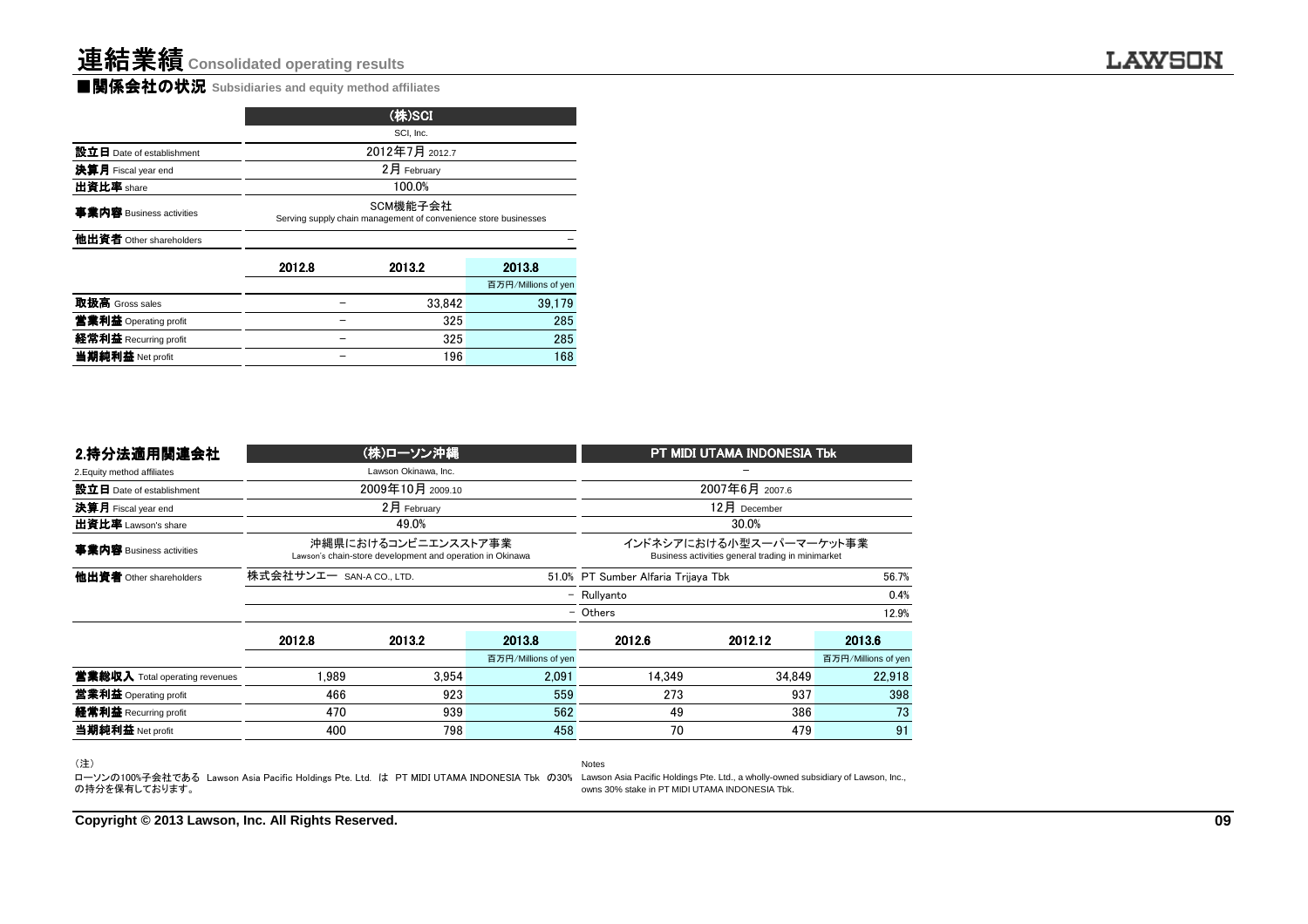■関係会社の状況 **Subsidiaries and equity method affiliates**

| SCI, Inc. |                                                                             |                     |  |  |  |  |  |
|-----------|-----------------------------------------------------------------------------|---------------------|--|--|--|--|--|
|           |                                                                             |                     |  |  |  |  |  |
|           | 2月 February                                                                 |                     |  |  |  |  |  |
|           | 100.0%                                                                      |                     |  |  |  |  |  |
|           | SCM機能子会社<br>Serving supply chain management of convenience store businesses |                     |  |  |  |  |  |
|           |                                                                             |                     |  |  |  |  |  |
| 2012.8    | 2013.2                                                                      | 2013.8              |  |  |  |  |  |
|           |                                                                             | 百万円/Millions of yen |  |  |  |  |  |
|           | 33.842                                                                      | 39,179              |  |  |  |  |  |
|           | 325                                                                         | 285                 |  |  |  |  |  |
|           | 325                                                                         | 285                 |  |  |  |  |  |
|           | 196                                                                         | 168                 |  |  |  |  |  |
|           |                                                                             | (株)SCI              |  |  |  |  |  |

| 2.持分法適用関連会社                           |        | (株)ローソン沖縄                                                                        |                     |          | PT MIDI UTAMA INDONESIA Tbk                                                  |                     |
|---------------------------------------|--------|----------------------------------------------------------------------------------|---------------------|----------|------------------------------------------------------------------------------|---------------------|
| 2. Equity method affiliates           |        | Lawson Okinawa, Inc.                                                             |                     |          |                                                                              |                     |
| 設立日 Date of establishment             |        | 2009年10月 2009.10                                                                 |                     |          | 2007年6月 2007.6                                                               |                     |
| 決算月 Fiscal year end                   |        | 2月 February                                                                      |                     |          | 12月 December                                                                 |                     |
| 出資比率 Lawson's share                   |        | 49.0%                                                                            |                     |          | 30.0%                                                                        |                     |
| 事業内容 Business activities              |        | 沖縄県におけるコンビニエンスストア事業<br>Lawson's chain-store development and operation in Okinawa |                     |          | インドネシアにおける小型スーパーマーケット事業<br>Business activities general trading in minimarket |                     |
| 他出資者 Other shareholders               |        | 株式会社サンエー SAN-A CO., LTD.<br>51.0% PT Sumber Alfaria Trijaya Tbk                  |                     |          |                                                                              | 56.7%               |
|                                       |        | - Rullyanto                                                                      |                     |          |                                                                              | 0.4%                |
|                                       |        |                                                                                  |                     | - Others |                                                                              | 12.9%               |
|                                       | 2012.8 | 2013.2                                                                           | 2013.8              | 2012.6   | 2012.12                                                                      | 2013.6              |
|                                       |        |                                                                                  | 百万円/Millions of yen |          |                                                                              | 百万円/Millions of yer |
| <b>営業総収入</b> Total operating revenues | .989   | 3.954                                                                            | 2.091               | 14.349   | 34.849                                                                       | 22,918              |
| 営業利益 Operating profit                 | 466    | 923                                                                              | 559                 | 273      | 937                                                                          | 398                 |
| 経常利益 Recurring profit                 | 470    | 939                                                                              | 562                 | 49       | 386                                                                          | 73                  |
| 当期純利益 Net profit                      | 400    | 798                                                                              | 458                 | 70       | 479                                                                          | 91                  |
|                                       |        |                                                                                  |                     |          |                                                                              |                     |

(注)

(注)<br>ローソンの100%子会社である Lawson Asia Pacific Holdings Pte. Ltd. は PT MIDI UTAMA INDONESIA Tbk の30% Lawson Asia Pacific Holdings Pte. Ltd., a wholly-owned subsidiary of Lawson, Inc.,<br>の持分を保有しております。

**Copyright © 2013 Lawson, Inc. All Rights Reserved.**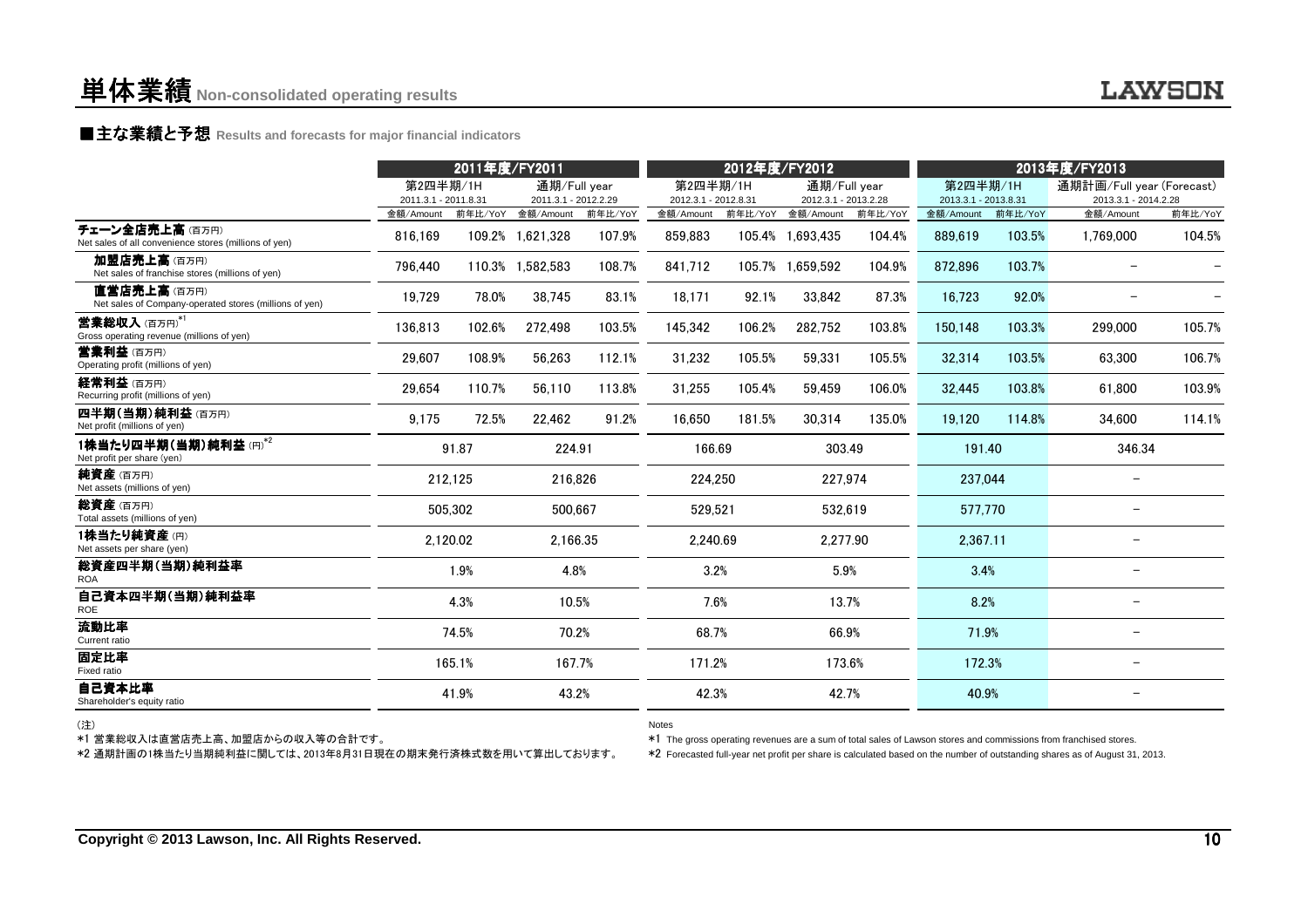### **■主な業績と予想** Results and forecasts for major financial indicators<br>
————————————————————

|                                                                                                      | 2011年度/FY2011                    |          |                                      | 2012年度/FY2012 |                                  |         | 2013年度/FY2013                        |         |                                  |         |                                                                                                                                                                                                                                                  |         |
|------------------------------------------------------------------------------------------------------|----------------------------------|----------|--------------------------------------|---------------|----------------------------------|---------|--------------------------------------|---------|----------------------------------|---------|--------------------------------------------------------------------------------------------------------------------------------------------------------------------------------------------------------------------------------------------------|---------|
|                                                                                                      | 第2四半期/1H<br>2011.3.1 - 2011.8.31 |          | 通期/Full vear<br>2011.3.1 - 2012.2.29 |               | 第2四半期/1H<br>2012.3.1 - 2012.8.31 |         | 通期/Full year<br>2012.3.1 - 2013.2.28 |         | 第2四半期/1H<br>2013.3.1 - 2013.8.31 |         | 通期計画/Full year (Forecast)<br>2013.3.1 - 2014.2.28                                                                                                                                                                                                |         |
|                                                                                                      | 金額/Amount                        | 前年比/YoY  | 金額/Amount                            | 前年比/YoY       | 金額/Amount                        | 前年比/YoY | 金額/Amount                            | 前年比/YoY | 金額/Amount                        | 前年比/YoY | 金額/Amount                                                                                                                                                                                                                                        | 前年比/YoY |
| チェーン全店売上高(百万円)<br>Net sales of all convenience stores (millions of yen)                              | 816.169                          |          | 109.2% 1,621,328                     | 107.9%        | 859,883                          |         | 105.4% 1,693,435                     | 104.4%  | 889,619                          | 103.5%  | 1,769,000                                                                                                                                                                                                                                        | 104.5%  |
| 加盟店売上高(百万円)<br>Net sales of franchise stores (millions of yen)                                       | 796,440                          |          | 110.3% 1,582,583                     | 108.7%        | 841,712                          |         | 105.7% 1,659,592                     | 104.9%  | 872,896                          | 103.7%  |                                                                                                                                                                                                                                                  |         |
| 直営店売上高(百万円)<br>Net sales of Company-operated stores (millions of yen)                                | 19.729                           | 78.0%    | 38.745                               | 83.1%         | 18.171                           | 92.1%   | 33.842                               | 87.3%   | 16.723                           | 92.0%   |                                                                                                                                                                                                                                                  |         |
| 営業総収入(百万円)*1<br>Gross operating revenue (millions of yen)                                            | 136,813                          | 102.6%   | 272,498                              | 103.5%        | 145.342                          | 106.2%  | 282,752                              | 103.8%  | 150.148                          | 103.3%  | 299,000                                                                                                                                                                                                                                          | 105.7%  |
| <b>営業利益</b> (百万円)<br>Operating profit (millions of yen)                                              | 29.607                           | 108.9%   | 56,263                               | 112.1%        | 31,232                           | 105.5%  | 59,331                               | 105.5%  | 32,314                           | 103.5%  | 63.300                                                                                                                                                                                                                                           | 106.7%  |
| 経常利益 (百万円)<br>Recurring profit (millions of yen)                                                     | 29,654                           | 110.7%   | 56,110                               | 113.8%        | 31,255                           | 105.4%  | 59,459                               | 106.0%  | 32,445                           | 103.8%  | 61.800                                                                                                                                                                                                                                           | 103.9%  |
| 四半期(当期)純利益(百万円)<br>Net profit (millions of yen)                                                      | 9.175                            | 72.5%    | 22,462                               | 91.2%         | 16.650                           | 181.5%  | 30,314                               | 135.0%  | 19,120                           | 114.8%  | 34.600                                                                                                                                                                                                                                           | 114.1%  |
| 1株当たり四半期(当期)純利益(円)*2<br>Net profit per share (yen)                                                   |                                  | 91.87    | 224.91                               |               | 166.69                           |         | 303.49                               |         | 191.40                           |         | 346.34                                                                                                                                                                                                                                           |         |
| 純資産(百万円)<br>Net assets (millions of yen)                                                             |                                  | 212,125  | 216,826                              |               | 224,250                          |         | 227,974                              |         | 237,044                          |         |                                                                                                                                                                                                                                                  |         |
| 総資産 (百万円)<br>Total assets (millions of yen)                                                          |                                  | 505,302  | 500,667                              |               | 529,521                          |         | 532,619                              |         | 577,770                          |         | $\overline{\phantom{0}}$                                                                                                                                                                                                                         |         |
| 1株当たり純資産(円)<br>Net assets per share (yen)                                                            |                                  | 2,120.02 | 2,166.35                             |               | 2,240.69                         |         | 2,277.90                             |         | 2,367.11                         |         |                                                                                                                                                                                                                                                  |         |
| 総資産四半期(当期)純利益率<br><b>ROA</b>                                                                         |                                  | 1.9%     | 4.8%                                 |               | 3.2%                             |         | 5.9%                                 |         | 3.4%                             |         |                                                                                                                                                                                                                                                  |         |
| 自己資本四半期(当期)純利益率<br>ROE                                                                               |                                  | 4.3%     | 10.5%                                |               | 7.6%                             |         | 13.7%                                |         | 8.2%                             |         |                                                                                                                                                                                                                                                  |         |
| 流動比率<br>Current ratio                                                                                |                                  | 74.5%    | 70.2%                                |               | 68.7%                            |         | 66.9%                                |         | 71.9%                            |         |                                                                                                                                                                                                                                                  |         |
| 固定比率<br>Fixed ratio                                                                                  |                                  | 165.1%   | 167.7%                               |               | 171.2%                           |         | 173.6%                               |         | 172.3%                           |         |                                                                                                                                                                                                                                                  |         |
| 自己資本比率<br>Shareholder's equity ratio                                                                 |                                  | 41.9%    | 43.2%                                |               | 42.3%                            |         | 42.7%                                |         | 40.9%                            |         | $\overline{\phantom{0}}$                                                                                                                                                                                                                         |         |
| (注)<br>*1 営業総収入は直営店売上高、加盟店からの収入等の合計です。<br>*2 通期計画の1株当たり当期純利益に関しては、2013年8月31日現在の期末発行済株式数を用いて算出しております。 |                                  |          |                                      |               | <b>Notes</b>                     |         |                                      |         |                                  |         | *1 The gross operating revenues are a sum of total sales of Lawson stores and commissions from franchised stores.<br>*2 Forecasted full-year net profit per share is calculated based on the number of outstanding shares as of August 31, 2013. |         |

(注)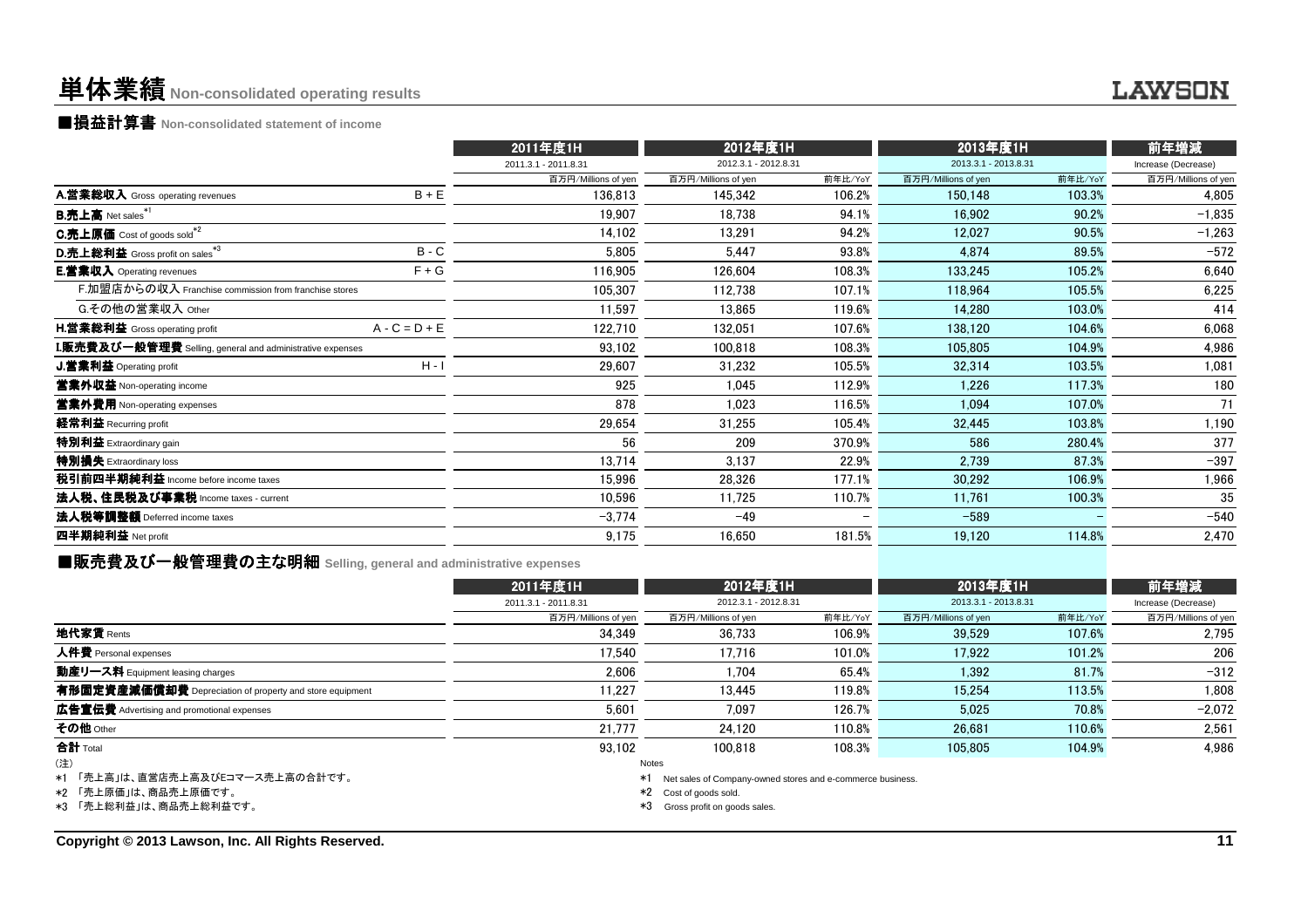#### 単体業績**Non-consolidated operating results**

■損益計算書 **Non-consolidated statement of income**

|                                                                  |                 | 2011年度1H             | 2012年度1H             |         | 2013年度1H             |         | 前年増減                |
|------------------------------------------------------------------|-----------------|----------------------|----------------------|---------|----------------------|---------|---------------------|
|                                                                  |                 | 2011.3.1 - 2011.8.31 | 2012.3.1 - 2012.8.31 |         | 2013.3.1 - 2013.8.31 |         | Increase (Decrease) |
|                                                                  |                 | 百万円/Millions of yen  | 百万円/Millions of yen  | 前年比/YoY | 百万円/Millions of yen  | 前年比/YoY | 百万円/Millions of yen |
| A.営業総収入 Gross operating revenues                                 | $B + E$         | 136,813              | 145,342              | 106.2%  | 150,148              | 103.3%  | 4,805               |
| <b>B.売上高</b> Net sales <sup>*1</sup>                             |                 | 19.907               | 18,738               | 94.1%   | 16.902               | 90.2%   | $-1,835$            |
| C.売上原価 Cost of goods sold <sup>*2</sup>                          |                 | 14,102               | 13,291               | 94.2%   | 12,027               | 90.5%   | $-1,263$            |
| D.売上総利益 Gross profit on sales*3                                  | $B - C$         | 5,805                | 5,447                | 93.8%   | 4,874                | 89.5%   | $-572$              |
| <b>E.営業収入</b> Operating revenues                                 | $F + G$         | 116,905              | 126,604              | 108.3%  | 133,245              | 105.2%  | 6,640               |
| F.加盟店からの収入 Franchise commission from franchise stores            |                 | 105,307              | 112,738              | 107.1%  | 118,964              | 105.5%  | 6,225               |
| G.その他の営業収入 Other                                                 |                 | 11,597               | 13,865               | 119.6%  | 14,280               | 103.0%  | 414                 |
| <b>H.営業総利益</b> Gross operating profit                            | $A - C = D + E$ | 122,710              | 132,051              | 107.6%  | 138.120              | 104.6%  | 6,068               |
| <b>I.販売費及び一般管理費</b> Selling, general and administrative expenses |                 | 93,102               | 100,818              | 108.3%  | 105,805              | 104.9%  | 4,986               |
| J.営業利益 Operating profit                                          | $H - I$         | 29,607               | 31,232               | 105.5%  | 32,314               | 103.5%  | 1,081               |
| 営業外収益 Non-operating income                                       |                 | 925                  | 1.045                | 112.9%  | 1.226                | 117.3%  | 180                 |
| 営業外費用 Non-operating expenses                                     |                 | 878                  | 1,023                | 116.5%  | 1,094                | 107.0%  | 71                  |
| 経常利益 Recurring profit                                            |                 | 29,654               | 31,255               | 105.4%  | 32,445               | 103.8%  | 1,190               |
| 特別利益 Extraordinary gain                                          |                 | 56                   | 209                  | 370.9%  | 586                  | 280.4%  | 377                 |
| 特別損失 Extraordinary loss                                          |                 | 13,714               | 3,137                | 22.9%   | 2,739                | 87.3%   | $-397$              |
| 税引前四半期純利益 Income before income taxes                             |                 | 15,996               | 28,326               | 177.1%  | 30,292               | 106.9%  | 1,966               |
| 法人税、住民税及び事業税 Income taxes - current                              |                 | 10,596               | 11,725               | 110.7%  | 11,761               | 100.3%  | 35                  |
| 法人税等調整額 Deferred income taxes                                    |                 | $-3.774$             | $-49$                |         | $-589$               |         | $-540$              |
| 四半期純利益 Net profit                                                |                 | 9,175                | 16,650               | 181.5%  | 19,120               | 114.8%  | 2,470               |
|                                                                  |                 |                      |                      |         |                      |         |                     |

■販売費及び一般管理費の主な明細 **Selling, general and administrative expenses**

|                                                                                           | 2011年度1H             | 2012年度1H                                                                                                                            |         | 2013年度1H             |         | 前年増減                |
|-------------------------------------------------------------------------------------------|----------------------|-------------------------------------------------------------------------------------------------------------------------------------|---------|----------------------|---------|---------------------|
|                                                                                           | 2011.3.1 - 2011.8.31 | 2012.3.1 - 2012.8.31                                                                                                                |         | 2013.3.1 - 2013.8.31 |         | Increase (Decrease) |
|                                                                                           | 百万円/Millions of yen  | 百万円/Millions of yen                                                                                                                 | 前年比/YoY | 百万円/Millions of yen  | 前年比/YoY | 百万円/Millions of yen |
| 地代家賃 Rents                                                                                | 34.349               | 36.733                                                                                                                              | 106.9%  | 39.529               | 107.6%  | 2.795               |
| 人件費 Personal expenses                                                                     | 17.540               | 17.716                                                                                                                              | 101.0%  | 17.922               | 101.2%  | 206                 |
| 動産リース料 Equipment leasing charges                                                          | 2.606                | 1.704                                                                                                                               | 65.4%   | 1.392                | 81.7%   | $-312$              |
| 有形固定資産減価償却費 Depreciation of property and store equipment                                  | 11.227               | 13.445                                                                                                                              | 119.8%  | 15.254               | 113.5%  | 1,808               |
| 広告宣伝費 Advertising and promotional expenses                                                | 5,601                | 7.097                                                                                                                               | 126.7%  | 5.025                | 70.8%   | $-2,072$            |
| その他 Other                                                                                 | 21.777               | 24.120                                                                                                                              | 110.8%  | 26.681               | 110.6%  | 2,561               |
| 合計 Total                                                                                  | 93.102               | 100.818                                                                                                                             | 108.3%  | 105.805              | 104.9%  | 4.986               |
| (注)<br>*1 「売上高」は、直営店売上高及びEコマース売上高の合計です。<br>*2 「売上原価」は、商品売上原価です。<br>*3 「売上総利益」は、商品売上総利益です。 | *1                   | Notes<br>Net sales of Company-owned stores and e-commerce business.<br>*2 Cost of goods sold.<br>*3<br>Gross profit on goods sales. |         |                      |         |                     |

**Copyright © 2013 Lawson, Inc. All Rights Reserved.**

LAWSON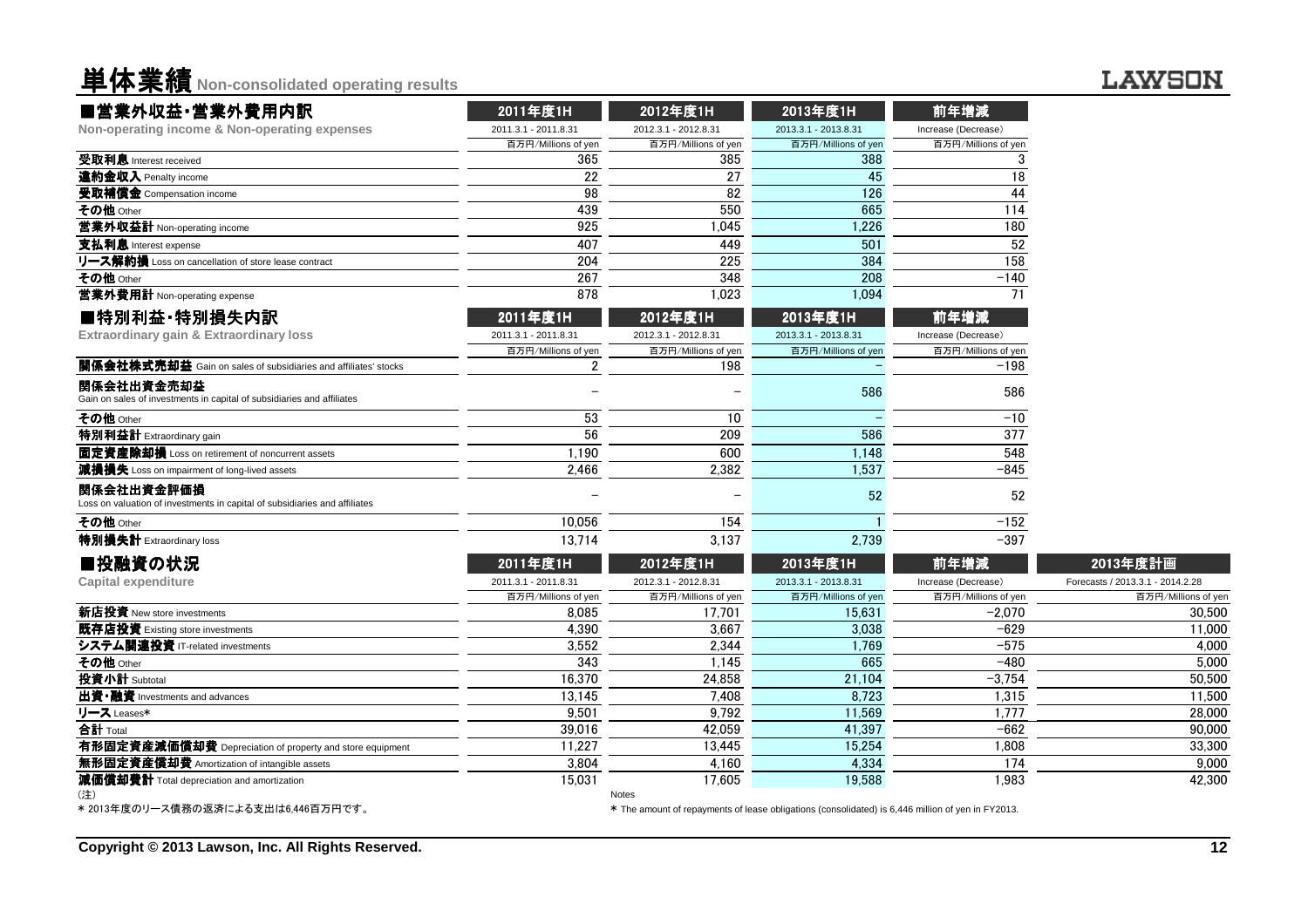**单体業績** Non-consolidated operating results

#### **LAWSON**

| ■営業外収益·営業外費用内訳                                                                           | 2011年度1H             | 2012年度1H                                                                                                   | 2013年度1H             | 前年増減                |                                  |
|------------------------------------------------------------------------------------------|----------------------|------------------------------------------------------------------------------------------------------------|----------------------|---------------------|----------------------------------|
| Non-operating income & Non-operating expenses                                            | 2011.3.1 - 2011.8.31 | 2012.3.1 - 2012.8.31                                                                                       | 2013.3.1 - 2013.8.31 | Increase (Decrease) |                                  |
|                                                                                          | 百万円/Millions of yen  | 百万円/Millions of yen                                                                                        | 百万円/Millions of yen  | 百万円/Millions of yen |                                  |
| 受取利息 Interest received                                                                   | 365                  | 385                                                                                                        | 388                  | 3                   |                                  |
| 違約金収入 Penalty income                                                                     | 22                   | 27                                                                                                         | 45                   | 18                  |                                  |
| 受取補償金 Compensation income                                                                | 98                   | 82                                                                                                         | 126                  | 44                  |                                  |
| その他 Other                                                                                | 439                  | 550                                                                                                        | 665                  | 114                 |                                  |
| 営業外収益計 Non-operating income                                                              | 925                  | 1,045                                                                                                      | 1,226                | 180                 |                                  |
| 支払利息 Interest expense                                                                    | 407                  | 449                                                                                                        | 501                  | 52                  |                                  |
| リース解約損 Loss on cancellation of store lease contract                                      | 204                  | 225                                                                                                        | 384                  | 158                 |                                  |
| その他 Other                                                                                | 267                  | 348                                                                                                        | 208                  | $-140$              |                                  |
| 営業外費用計 Non-operating expense                                                             | 878                  | 1,023                                                                                                      | 1,094                | 71                  |                                  |
| ■特別利益·特別損失内訳                                                                             | 2011年度1H             | 2012年度1H                                                                                                   | 2013年度1H             | 前年増減                |                                  |
| Extraordinary gain & Extraordinary loss                                                  | 2011.3.1 - 2011.8.31 | 2012.3.1 - 2012.8.31                                                                                       | 2013.3.1 - 2013.8.31 | Increase (Decrease) |                                  |
|                                                                                          | 百万円/Millions of yen  | 百万円/Millions of yen                                                                                        | 百万円/Millions of yen  | 百万円/Millions of yen |                                  |
| 関係会社株式売却益 Gain on sales of subsidiaries and affiliates' stocks                           | 2                    | 198                                                                                                        |                      | $-198$              |                                  |
| 関係会社出資金売却益<br>Gain on sales of investments in capital of subsidiaries and affiliates     |                      |                                                                                                            | 586                  | 586                 |                                  |
| その他 Other                                                                                | 53                   | 10                                                                                                         |                      | $-10$               |                                  |
| 特別利益計 Extraordinary gain                                                                 | 56                   | 209                                                                                                        | 586                  | 377                 |                                  |
| 固定資産除却損 Loss on retirement of noncurrent assets                                          | 1,190                | 600                                                                                                        | 1,148                | 548                 |                                  |
| 減損損失 Loss on impairment of long-lived assets                                             | 2,466                | 2,382                                                                                                      | 1,537                | $-845$              |                                  |
| 関係会社出資金評価損<br>Loss on valuation of investments in capital of subsidiaries and affiliates |                      |                                                                                                            | 52                   | 52                  |                                  |
| その他 Other                                                                                | 10,056               | 154                                                                                                        |                      | $-152$              |                                  |
| 特別損失計 Extraordinary loss                                                                 | 13.714               | 3,137                                                                                                      | 2,739                | $-397$              |                                  |
| ■投融資の状況                                                                                  | 2011年度1H             | 2012年度1H                                                                                                   | 2013年度1H             | 前年増減                | 2013年度計画                         |
| <b>Capital expenditure</b>                                                               | 2011.3.1 - 2011.8.31 | 2012.3.1 - 2012.8.31                                                                                       | 2013.3.1 - 2013.8.31 | Increase (Decrease) | Forecasts / 2013.3.1 - 2014.2.28 |
|                                                                                          | 百万円/Millions of yen  | 百万円/Millions of yen                                                                                        | 百万円/Millions of yen  | 百万円/Millions of yen | 百万円/Millions of yer              |
| 新店投資 New store investments                                                               | 8.085                | 17.701                                                                                                     | 15,631               | $-2.070$            | 30,500                           |
| 既存店投資 Existing store investments                                                         | 4,390                | 3,667                                                                                                      | 3,038                | $-629$              | 11.000                           |
| システム関連投資 IT-related investments                                                          | 3,552                | 2,344                                                                                                      | 1,769                | $-575$              | 4.000                            |
| その他 Other                                                                                | 343                  | 1,145                                                                                                      | 665                  | $-480$              | 5,000                            |
| 投資小計 Subtotal                                                                            | 16,370               | 24,858                                                                                                     | 21,104               | $-3,754$            | 50,500                           |
| 出資·融資 Investments and advances                                                           | 13,145               | 7,408                                                                                                      | 8,723                | 1,315               | 11,500                           |
| リース Leases*                                                                              | 9.501                | 9.792                                                                                                      | 11,569               | 1.777               | 28,000                           |
| 合計 Total                                                                                 | 39,016               | 42.059                                                                                                     | 41,397               | $-662$              | 90.000                           |
| 有形固定資産減価償却費 Depreciation of property and store equipment                                 | 11,227               | 13,445                                                                                                     | 15,254               | 1,808               | 33,300                           |
| 無形固定資産償却費 Amortization of intangible assets                                              | 3,804                | 4,160                                                                                                      | 4,334                | 174                 | 9,000                            |
| 減価償却費計 Total depreciation and amortization                                               | 15,031               | 17,605                                                                                                     | 19,588               | 1,983               | 42,300                           |
| (注)<br>*2013年度のリース債務の返済による支出は6.446百万円です。                                                 |                      | Notes<br>* The amount of repayments of lease obligations (consolidated) is 6,446 million of yen in FY2013. |                      |                     |                                  |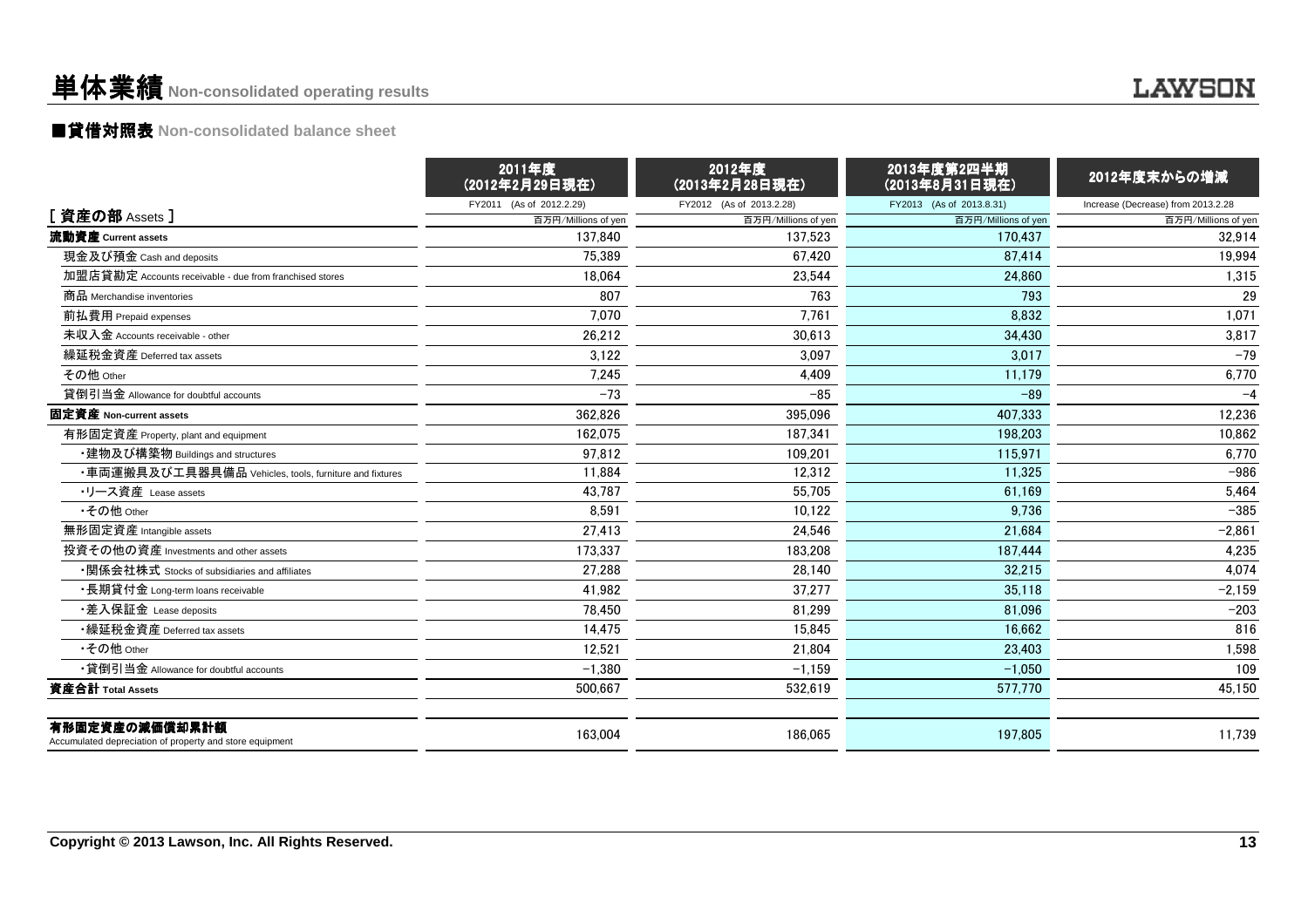# 単体業績**Non-consolidated operating results**

# ■貸借対照表 **Non-consolidated balance sheet**

|                                                                            | 2011年度<br>(2012年2月29日現在) | 2012年度<br>(2013年2月28日現在) | 2013年度第2四半期<br>(2013年8月31日現在) | 2012年度末からの増減                       |
|----------------------------------------------------------------------------|--------------------------|--------------------------|-------------------------------|------------------------------------|
|                                                                            | FY2011 (As of 2012.2.29) | FY2012 (As of 2013.2.28) | FY2013 (As of 2013.8.31)      | Increase (Decrease) from 2013.2.28 |
| [ 資産の部 Assets ]                                                            | 百万円/Millions of yen      | 百万円/Millions of yen      | 百万円/Millions of yen           | 百万円/Millions of yen                |
| 流動資産 Current assets                                                        | 137.840                  | 137.523                  | 170.437                       | 32.914                             |
| 現金及び預金 Cash and deposits                                                   | 75,389                   | 67.420                   | 87.414                        | 19,994                             |
| 加盟店貸勘定 Accounts receivable - due from franchised stores                    | 18.064                   | 23.544                   | 24.860                        | 1,315                              |
| 商品 Merchandise inventories                                                 | 807                      | 763                      | 793                           | 29                                 |
| 前払費用 Prepaid expenses                                                      | 7.070                    | 7,761                    | 8.832                         | 1,071                              |
| 未収入金 Accounts receivable - other                                           | 26,212                   | 30,613                   | 34,430                        | 3,817                              |
| 繰延税金資産 Deferred tax assets                                                 | 3,122                    | 3,097                    | 3,017                         | $-79$                              |
| その他 Other                                                                  | 7,245                    | 4,409                    | 11,179                        | 6,770                              |
| 貸倒引当金 Allowance for doubtful accounts                                      | $-73$                    | $-85$                    | $-89$                         | $-4$                               |
| 固定資産 Non-current assets                                                    | 362.826                  | 395.096                  | 407.333                       | 12,236                             |
| 有形固定資産 Property, plant and equipment                                       | 162.075                  | 187.341                  | 198,203                       | 10,862                             |
| ・建物及び構築物 Buildings and structures                                          | 97.812                   | 109.201                  | 115.971                       | 6.770                              |
| ・車両運搬具及び工具器具備品 Vehicles, tools, furniture and fixtures                     | 11,884                   | 12,312                   | 11,325                        | $-986$                             |
| ・リース資産 Lease assets                                                        | 43,787                   | 55,705                   | 61,169                        | 5,464                              |
| •その他 Other                                                                 | 8,591                    | 10,122                   | 9,736                         | $-385$                             |
| 無形固定資産 Intangible assets                                                   | 27.413                   | 24.546                   | 21.684                        | $-2.861$                           |
| 投資その他の資産 Investments and other assets                                      | 173.337                  | 183,208                  | 187,444                       | 4,235                              |
| ・関係会社株式 Stocks of subsidiaries and affiliates                              | 27.288                   | 28.140                   | 32.215                        | 4.074                              |
| ・長期貸付金 Long-term loans receivable                                          | 41,982                   | 37,277                   | 35,118                        | $-2,159$                           |
| ・差入保証金 Lease deposits                                                      | 78.450                   | 81.299                   | 81.096                        | $-203$                             |
| •繰延税金資産 Deferred tax assets                                                | 14.475                   | 15.845                   | 16.662                        | 816                                |
| •その他 Other                                                                 | 12,521                   | 21,804                   | 23.403                        | 1,598                              |
| •貸倒引当金 Allowance for doubtful accounts                                     | $-1,380$                 | $-1,159$                 | $-1.050$                      | 109                                |
| 資産合計 Total Assets                                                          | 500.667                  | 532.619                  | 577,770                       | 45,150                             |
| 有形固定資産の減価償却累計額<br>Accumulated depreciation of property and store equipment | 163,004                  | 186.065                  | 197.805                       | 11.739                             |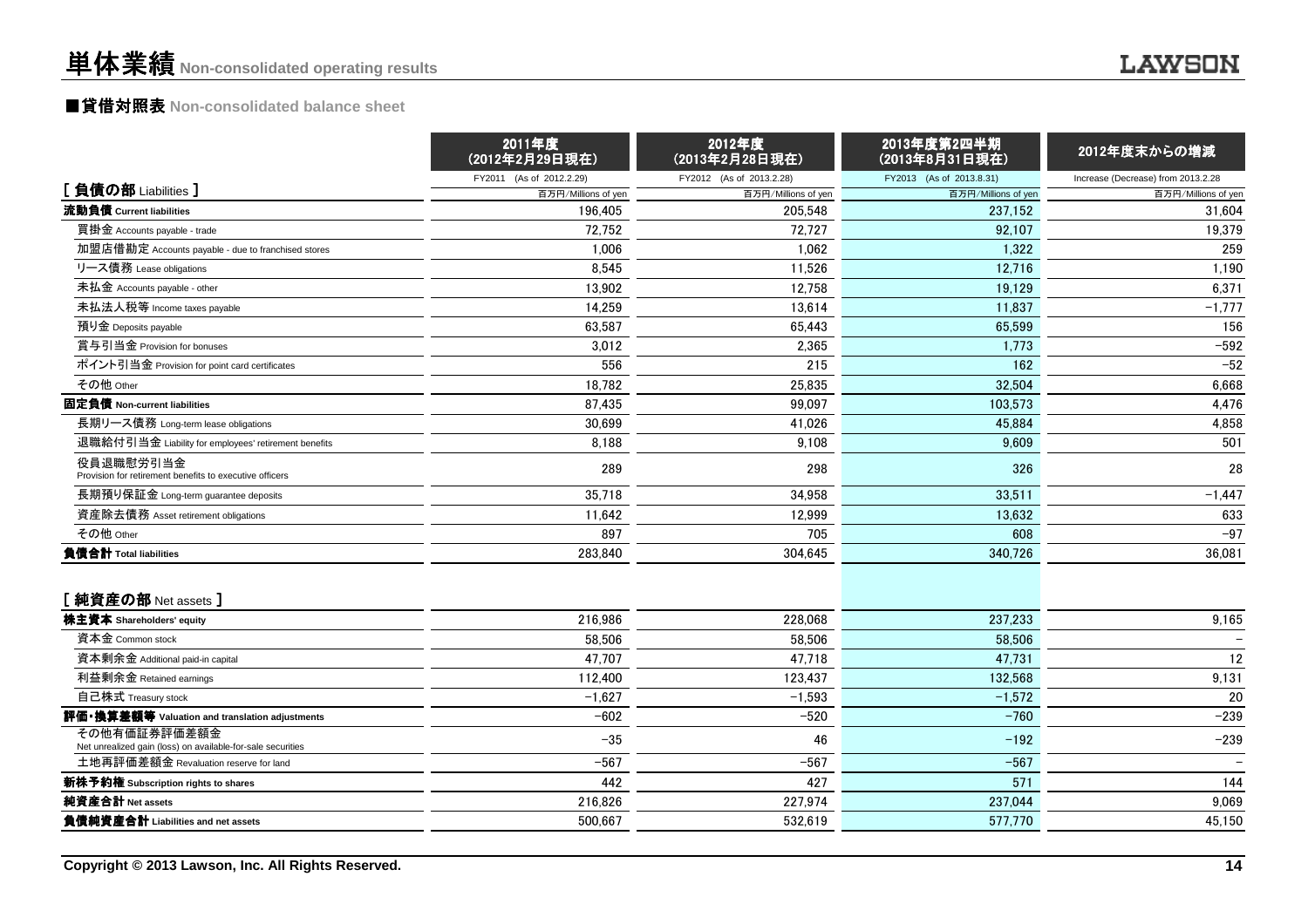# ■貸借対照表 **Non-consolidated balance sheet**

|                                                                             | 2011年度<br>(2012年2月29日現在) | 2012年度<br>(2013年2月28日現在) | 2013年度第2四半期<br>(2013年8月31日現在) | 2012年度末からの増減                       |
|-----------------------------------------------------------------------------|--------------------------|--------------------------|-------------------------------|------------------------------------|
|                                                                             | FY2011 (As of 2012.2.29) | FY2012 (As of 2013.2.28) | FY2013 (As of 2013.8.31)      | Increase (Decrease) from 2013.2.28 |
| [負債の部 Liabilities]                                                          | 百万円/Millions of yen      | 百万円/Millions of yen      | 百万円/Millions of yen           | 百万円/Millions of yen                |
| 流動負債 Current liabilities                                                    | 196,405                  | 205,548                  | 237.152                       | 31,604                             |
| 買掛金 Accounts payable - trade                                                | 72,752                   | 72,727                   | 92,107                        | 19,379                             |
| 加盟店借勘定 Accounts payable - due to franchised stores                          | 1,006                    | 1.062                    | 1,322                         | 259                                |
| リース債務 Lease obligations                                                     | 8,545                    | 11,526                   | 12,716                        | 1,190                              |
| 未払金 Accounts payable - other                                                | 13,902                   | 12,758                   | 19,129                        | 6,371                              |
| 未払法人税等 Income taxes payable                                                 | 14.259                   | 13.614                   | 11.837                        | $-1,777$                           |
| 預り金 Deposits payable                                                        | 63,587                   | 65,443                   | 65,599                        | 156                                |
| 賞与引当金 Provision for bonuses                                                 | 3.012                    | 2.365                    | 1.773                         | $-592$                             |
| ポイント引当金 Provision for point card certificates                               | 556                      | 215                      | 162                           | $-52$                              |
| その他 Other                                                                   | 18,782                   | 25,835                   | 32,504                        | 6,668                              |
| 固定負債 Non-current liabilities                                                | 87,435                   | 99,097                   | 103.573                       | 4,476                              |
| 長期リース債務 Long-term lease obligations                                         | 30,699                   | 41,026                   | 45,884                        | 4,858                              |
| 退職給付引当金 Liability for employees' retirement benefits                        | 8,188                    | 9.108                    | 9.609                         | 501                                |
| 役員退職慰労引当金<br>Provision for retirement benefits to executive officers        | 289                      | 298                      | 326                           | 28                                 |
| 長期預り保証金 Long-term guarantee deposits                                        | 35,718                   | 34.958                   | 33.511                        | $-1,447$                           |
| 資産除去債務 Asset retirement obligations                                         | 11,642                   | 12,999                   | 13,632                        | 633                                |
| その他 Other                                                                   | 897                      | 705                      | 608                           | $-97$                              |
| 負債合計 Total liabilities                                                      | 283,840                  | 304,645                  | 340,726                       | 36,081                             |
| [純資産の部 Net assets ]                                                         |                          |                          |                               |                                    |
| 株主資本 Shareholders' equity                                                   | 216,986                  | 228,068                  | 237,233                       | 9,165                              |
| 資本金 Common stock                                                            | 58,506                   | 58.506                   | 58,506                        |                                    |
| 資本剰余金 Additional paid-in capital                                            | 47,707                   | 47,718                   | 47,731                        | 12                                 |
| 利益剰余金 Retained earnings                                                     | 112,400                  | 123,437                  | 132.568                       | 9,131                              |
| 自己株式 Treasury stock                                                         | $-1,627$                 | $-1,593$                 | $-1,572$                      | 20                                 |
| 評価・換算差額等 Valuation and translation adjustments                              | $-602$                   | $-520$                   | $-760$                        | $-239$                             |
| その他有価証券評価差額金<br>Net unrealized gain (loss) on available-for-sale securities | $-35$                    | 46                       | $-192$                        | $-239$                             |
| 土地再評価差額金 Revaluation reserve for land                                       | $-567$                   | $-567$                   | $-567$                        |                                    |
| 新株予約権 Subscription rights to shares                                         | 442                      | 427                      | 571                           | 144                                |
| 純資産合計 Net assets                                                            | 216,826                  | 227,974                  | 237,044                       | 9,069                              |
| 負債純資産合計 Liabilities and net assets                                          | 500,667                  | 532,619                  | 577,770                       | 45,150                             |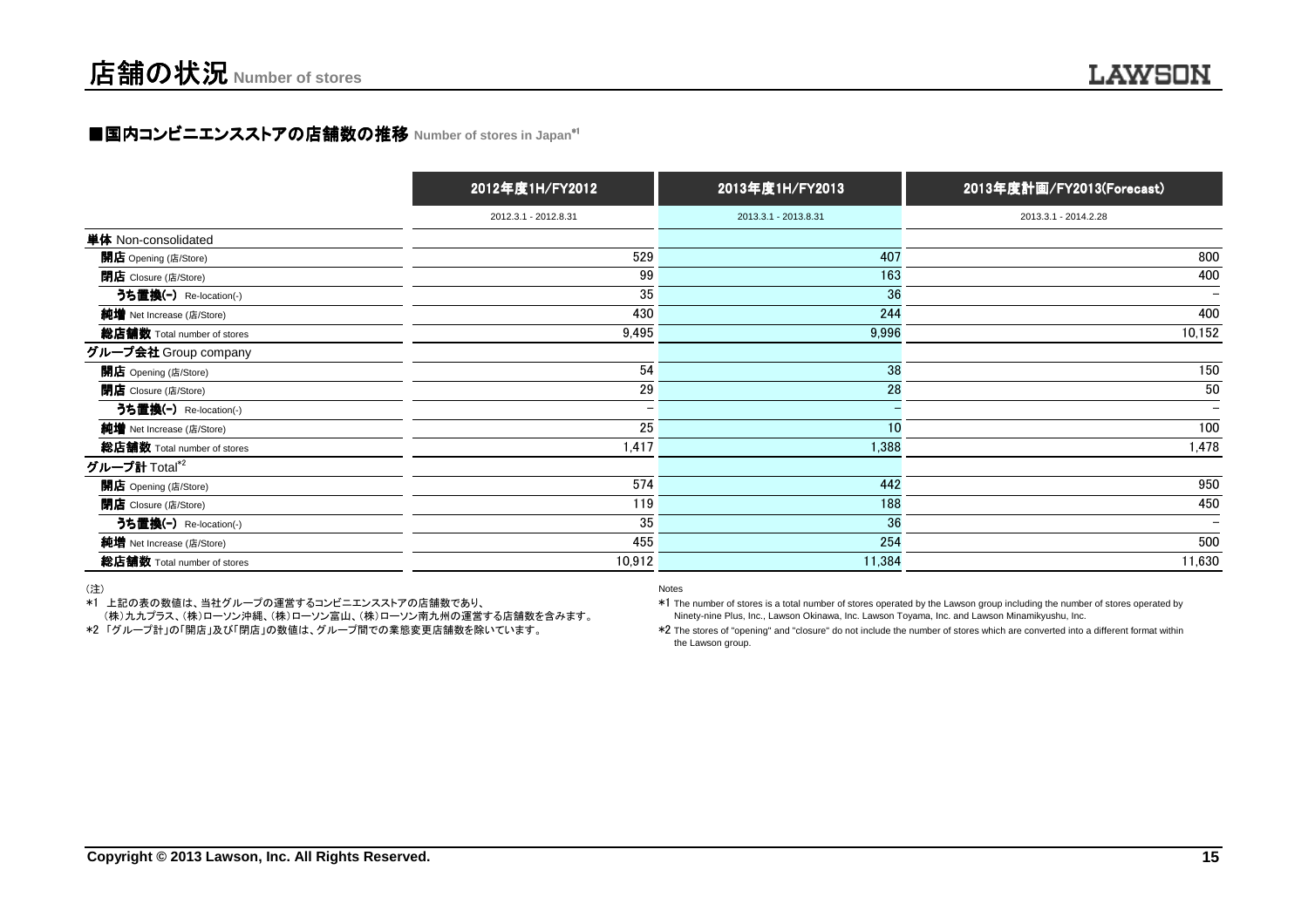# ■国内コンビニエンスストアの店舗数の推移 Number of stores in Japan<sup>\*|</sup>

|                             | 2012年度1H/FY2012          | 2013年度1H/FY2013      | 2013年度計画/FY2013(Forecast) |
|-----------------------------|--------------------------|----------------------|---------------------------|
|                             | 2012.3.1 - 2012.8.31     | 2013.3.1 - 2013.8.31 | 2013.3.1 - 2014.2.28      |
| 単体 Non-consolidated         |                          |                      |                           |
| 開店 Opening (店/Store)        | 529                      | 407                  | 800                       |
| 閉店 Closure (店/Store)        | 99                       | 163                  | 400                       |
| うち置換(-) Re-location(-)      | 35                       | 36                   | $\qquad \qquad$           |
| 純増 Net Increase (店/Store)   | 430                      | 244                  | 400                       |
| 総店舗数 Total number of stores | 9,495                    | 9,996                | 10,152                    |
| グループ会社 Group company        |                          |                      |                           |
| 開店 Opening (店/Store)        | 54                       | 38                   | 150                       |
| <b>閉店</b> Closure (店/Store) | 29                       | 28                   | 50                        |
| うち置換(-) Re-location(-)      | $\overline{\phantom{0}}$ |                      | $\overline{\phantom{0}}$  |
| 純増 Net Increase (店/Store)   | 25                       | 10                   | 100                       |
| 総店舗数 Total number of stores | 1,417                    | 1,388                | 1,478                     |
| グループ計 Total*2               |                          |                      |                           |
| 開店 Opening (店/Store)        | 574                      | 442                  | 950                       |
| 閉店 Closure (店/Store)        | 119                      | 188                  | 450                       |
| うち置換(-) Re-location(-)      | 35                       | 36                   | $\qquad \qquad$           |
| 純増 Net Increase (店/Store)   | 455                      | 254                  | 500                       |
| 総店舗数 Total number of stores | 10,912                   | 11,384               | 11,630                    |

Notes

(注)

\*1 上記の表の数値は、当社グループの運営するコンビニエンスストアの店舗数であり、

(株)九九プラス、(株)ローソン沖縄、(株)ローソン富山、(株)ローソン南九州の運営する店舗数を含みます。

 \*1 The number of stores is a total number of stores operated by the Lawson group including the number of stores operated byNinety-nine Plus, Inc., Lawson Okinawa, Inc. Lawson Toyama, Inc. and Lawson Minamikyushu, Inc.

\*2 The stores of "opening" and "closure" do not include the number of stores which are converted into a different format withinthe Lawson group.

\*2 「グループ計」の「開店」及び「閉店」の数値は、グループ間での業態変更店舗数を除いています。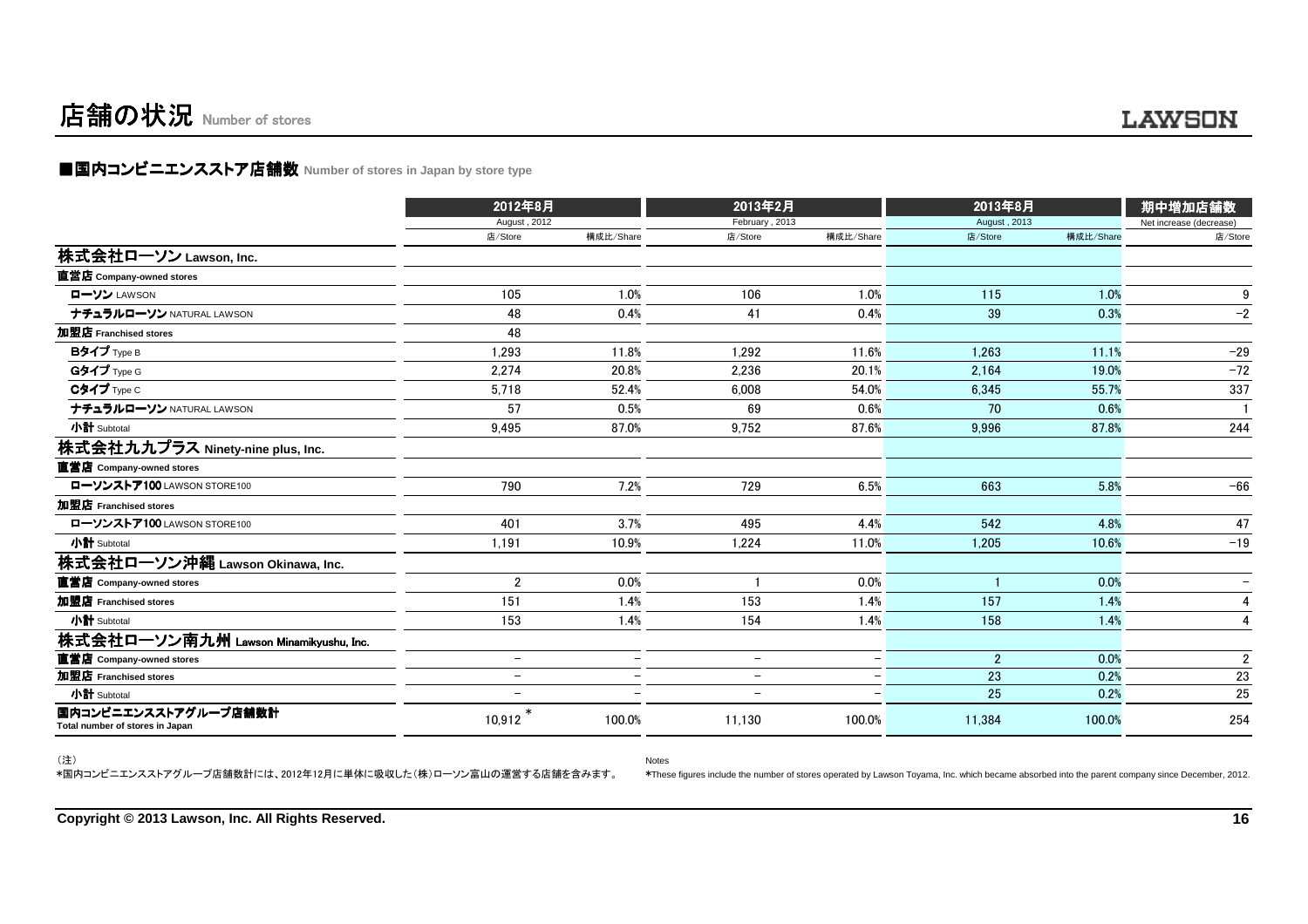# 店舗の状況 Number of stores

### **■国内コンビニエンスストア店舗数 Number of stores in Japan by store type**

|                                                         | 2012年8月                  |                          | 2013年2月                  |                          | 2013年8月        | 期中増加店舗数   |                         |  |
|---------------------------------------------------------|--------------------------|--------------------------|--------------------------|--------------------------|----------------|-----------|-------------------------|--|
|                                                         | August, 2012             |                          | February, 2013           |                          | August, 2013   |           | Net increase (decrease) |  |
|                                                         | 店/Store                  | 構成比/Share                | 店/Store                  | 構成比/Share                | 店/Store        | 構成比/Share | 店/Store                 |  |
| 株式会社ローソン Lawson, Inc.                                   |                          |                          |                          |                          |                |           |                         |  |
| 直営店 Company-owned stores                                |                          |                          |                          |                          |                |           |                         |  |
| ローソン LAWSON                                             | 105                      | 1.0%                     | 106                      | 1.0%                     | 115            | 1.0%      | 9                       |  |
| ナチュラルローソン NATURAL LAWSON                                | 48                       | 0.4%                     | 41                       | 0.4%                     | 39             | 0.3%      | $-2$                    |  |
| 加盟店 Franchised stores                                   | 48                       |                          |                          |                          |                |           |                         |  |
| Bタイプ Type B                                             | 1,293                    | 11.8%                    | 1.292                    | 11.6%                    | 1.263          | 11.1%     | $-29$                   |  |
| Gタイプ Type G                                             | 2.274                    | 20.8%                    | 2.236                    | 20.1%                    | 2.164          | 19.0%     | $-72$                   |  |
| $C$ タイプ $Type C$                                        | 5,718                    | 52.4%                    | 6.008                    | 54.0%                    | 6.345          | 55.7%     | 337                     |  |
| ナチュラルローソン NATURAL LAWSON                                | 57                       | 0.5%                     | 69                       | 0.6%                     | 70             | 0.6%      |                         |  |
| 小計 Subtotal                                             | 9,495                    | 87.0%                    | 9,752                    | 87.6%                    | 9,996          | 87.8%     | 244                     |  |
| 株式会社九九プラス Ninety-nine plus, Inc.                        |                          |                          |                          |                          |                |           |                         |  |
| 直営店 Company-owned stores                                |                          |                          |                          |                          |                |           |                         |  |
| ローソンストア100 LAWSON STORE100                              | 790                      | 7.2%                     | 729                      | 6.5%                     | 663            | 5.8%      | $-66$                   |  |
| 加盟店 Franchised stores                                   |                          |                          |                          |                          |                |           |                         |  |
| ローソンストア100 LAWSON STORE100                              | 401                      | 3.7%                     | 495                      | 4.4%                     | 542            | 4.8%      | 47                      |  |
| 小計 Subtotal                                             | 1,191                    | 10.9%                    | 1,224                    | 11.0%                    | 1,205          | 10.6%     | $-19$                   |  |
| 株式会社ローソン沖縄 Lawson Okinawa, Inc.                         |                          |                          |                          |                          |                |           |                         |  |
| 直営店 Company-owned stores                                | $\overline{2}$           | 0.0%                     |                          | 0.0%                     |                | 0.0%      |                         |  |
| 加盟店 Franchised stores                                   | 151                      | 1.4%                     | 153                      | 1.4%                     | 157            | 1.4%      | 4                       |  |
| 小計 Subtotal                                             | 153                      | 1.4%                     | 154                      | 1.4%                     | 158            | 1.4%      | 4                       |  |
| 株式会社ローソン南九州 Lawson Minamikyushu, Inc.                   |                          |                          |                          |                          |                |           |                         |  |
| 直営店 Company-owned stores                                | $\qquad \qquad -$        | $\overline{\phantom{0}}$ | $\overline{\phantom{0}}$ | $\overline{\phantom{0}}$ | $\overline{2}$ | 0.0%      | $\overline{2}$          |  |
| 加盟店 Franchised stores                                   | $\overline{\phantom{0}}$ | $\overline{\phantom{a}}$ | $\overline{\phantom{0}}$ | $\overline{\phantom{0}}$ | 23             | 0.2%      | 23                      |  |
| 小計 Subtotal                                             | $\qquad \qquad -$        |                          | $\qquad \qquad -$        |                          | 25             | 0.2%      | 25                      |  |
| 国内コンビニエンスストアグループ店舗数計<br>Total number of stores in Japan | 10,912                   | 100.0%                   | 11,130                   | 100.0%                   | 11,384         | 100.0%    | 254                     |  |

Notes

(注)

\*国内コンビニエンスストアグループ店舗数計には、2012年12月に単体に吸収した(株)ローソン富山の運営する店舗を含みます。

\*These figures include the number of stores operated by Lawson Toyama, Inc. which became absorbed into the parent company since December, 2012.

**Copyright © 2013 Lawson, Inc. All Rights Reserved.**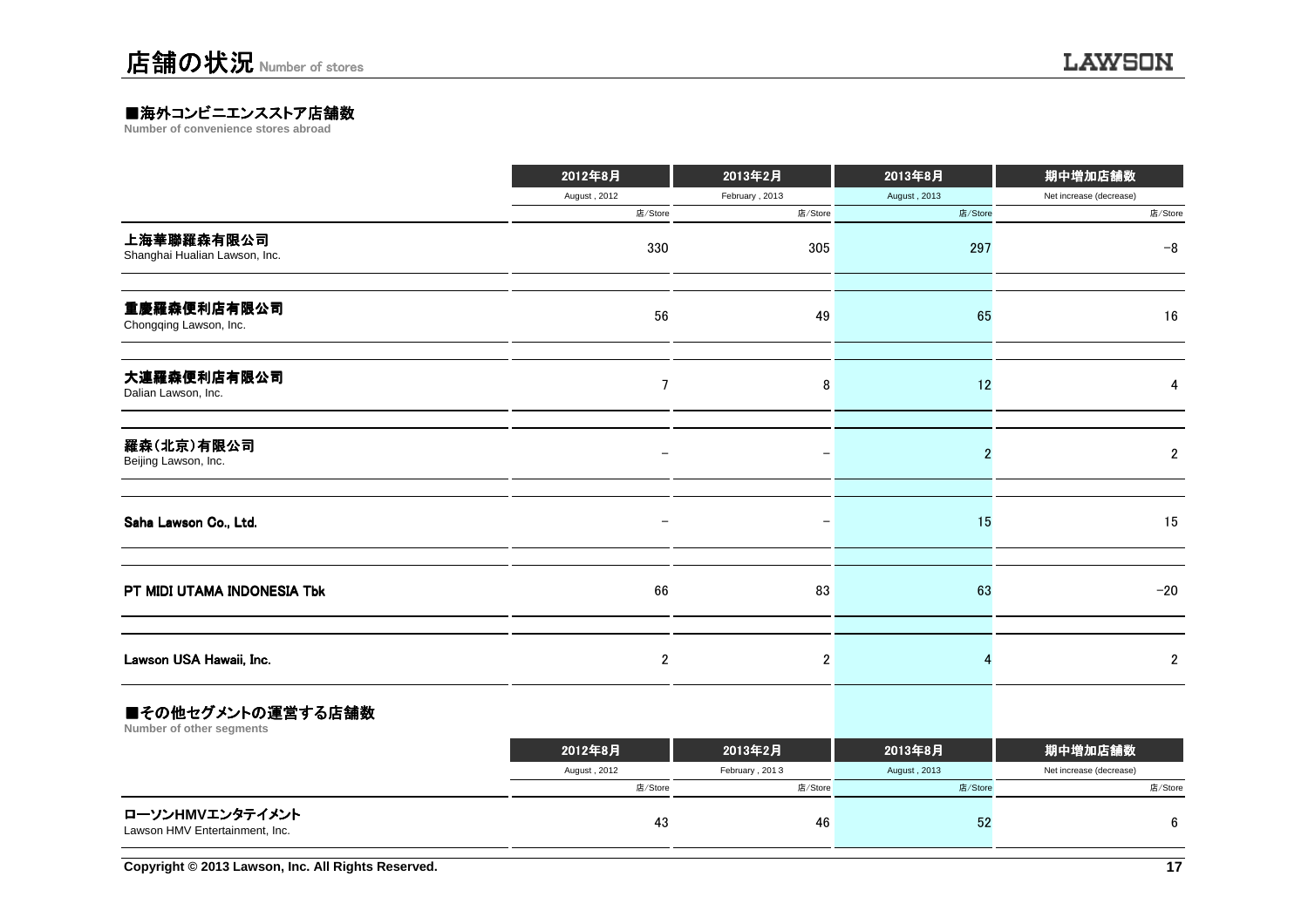### ■海外コンビニエンスストア店舗数<br>Number of convenience stores abroad

**Number of convenience stores abroad**

|                                             | 2012年8月        | 2013年2月        | 2013年8月      | 期中増加店舗数                 |
|---------------------------------------------|----------------|----------------|--------------|-------------------------|
|                                             | August, 2012   | February, 2013 | August, 2013 | Net increase (decrease) |
|                                             | 店/Store        | 店/Store        | 店/Store      | 店/Store                 |
| 上海華聯羅森有限公司<br>Shanghai Hualian Lawson, Inc. | 330            | 305            | 297          | $-8$                    |
| 重慶羅森便利店有限公司<br>Chongqing Lawson, Inc.       | 56             | 49             | 65           | 16                      |
| 大連羅森便利店有限公司<br>Dalian Lawson, Inc.          | 7              | 8              | 12           | 4                       |
| 羅森(北京)有限公司<br>Beijing Lawson, Inc.          |                |                | 2            | $\boldsymbol{2}$        |
| Saha Lawson Co., Ltd.                       |                |                | 15           | 15                      |
| PT MIDI UTAMA INDONESIA Tbk                 | 66             | 83             | 63           | $-20$                   |
| Lawson USA Hawaii, Inc.                     | $\overline{2}$ | $\overline{2}$ |              | $\mathbf 2$             |
| ومساحات والمتحافظ والمنافذة والمستنبذ<br>-  |                |                |              |                         |

#### ■その他セグメントの運営する店舗数

**Number of other segments**

|                                                   | 2012年8月      | 2013年2月        | 2013年8月      | 期中増加店舗数                 |
|---------------------------------------------------|--------------|----------------|--------------|-------------------------|
|                                                   | August, 2012 | February, 2013 | August, 2013 | Net increase (decrease) |
|                                                   | 店/Store      | 店/Store        | 店/Store      | 店/Store                 |
| ローソンHMVエンタテイメント<br>Lawson HMV Entertainment, Inc. | 43           | 46             | 52           |                         |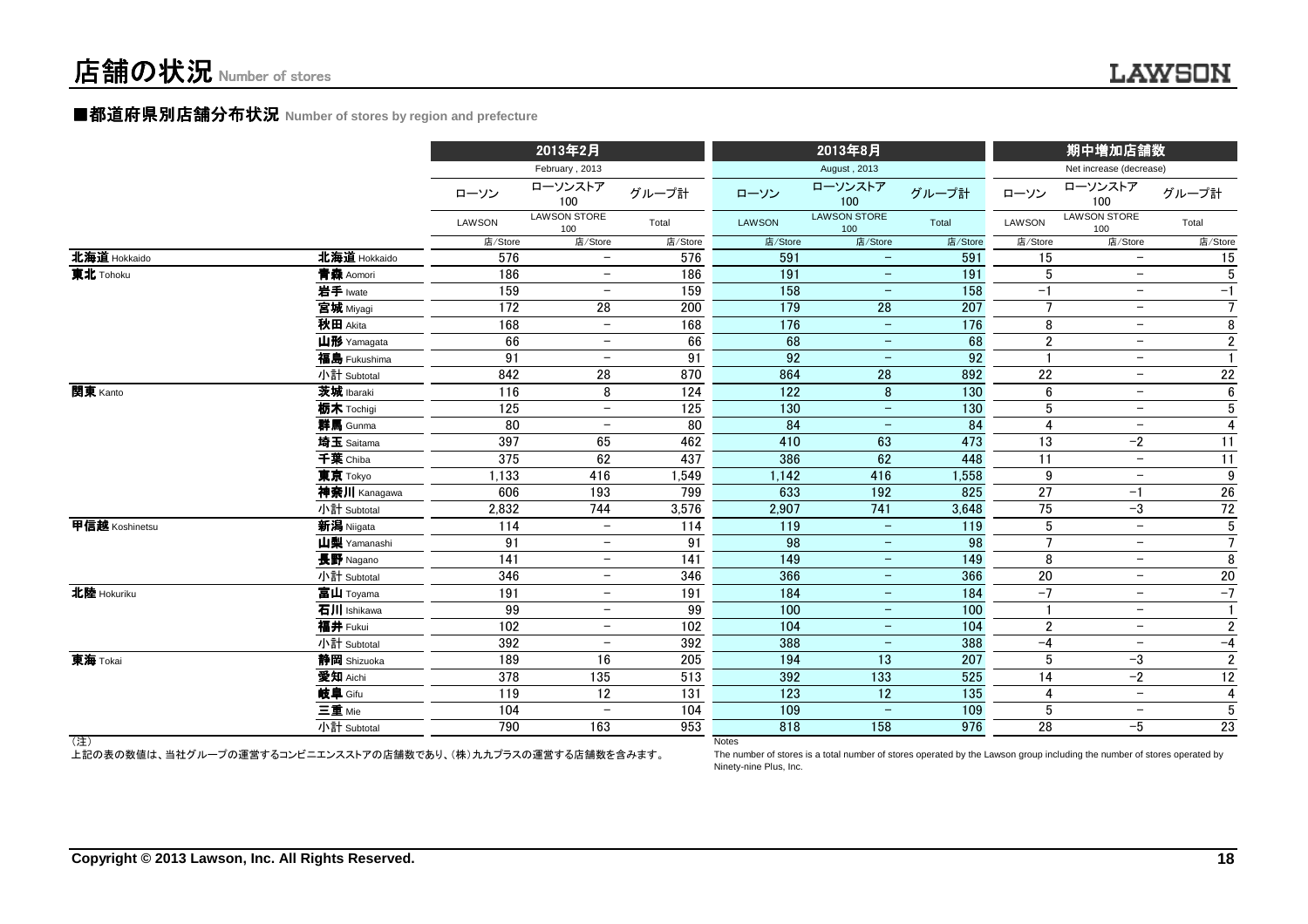#### ■都道府県別店舗分布状況 Number of stores by region and prefecture

|                |                                                              | 2013年2月 |                            |         | 2013年8月          |                                                                                                                          | 期中増加店舗数 |                       |                            |                 |
|----------------|--------------------------------------------------------------|---------|----------------------------|---------|------------------|--------------------------------------------------------------------------------------------------------------------------|---------|-----------------------|----------------------------|-----------------|
|                |                                                              |         | February, 2013             |         |                  | August, 2013                                                                                                             |         |                       | Net increase (decrease)    |                 |
|                |                                                              | ローソン    | ローソンストア<br>100             | グループ計   | ローソン             | ローソンストア<br>100                                                                                                           | グループ計   | ローソン                  | ローソンストア<br>100             | グループ計           |
|                |                                                              | LAWSON  | <b>LAWSON STORE</b><br>100 | Total   | LAWSON           | <b>LAWSON STORE</b><br>100                                                                                               | Total   | LAWSON                | <b>LAWSON STORE</b><br>100 | Total           |
|                |                                                              | 店/Store | 店/Store                    | 店/Store | 店/Store          | 店/Store                                                                                                                  | 店/Store | 店/Store               | 店/Store                    | 店/Store         |
| 北海道 Hokkaido   | 北海道 Hokkaido                                                 | 576     | $\overline{\phantom{m}}$   | 576     | 591              |                                                                                                                          | 591     | 15                    | $\overline{\phantom{0}}$   | 15              |
| 東北 Tohoku      | 青森 Aomori                                                    | 186     | $\overline{\phantom{m}}$   | 186     | 191              | $\qquad \qquad -$                                                                                                        | 191     | 5                     | $\overline{\phantom{m}}$   | $5\phantom{.0}$ |
|                | 岩手 Iwate                                                     | 159     | $\overline{\phantom{m}}$   | 159     | 158              | $\overline{\phantom{m}}$                                                                                                 | 158     | $-1$                  | $\overline{\phantom{m}}$   | $-1$            |
|                | 宮城 Miyagi                                                    | 172     | 28                         | 200     | 179              | 28                                                                                                                       | 207     | $\overline{7}$        | $\overline{\phantom{m}}$   | $\overline{7}$  |
|                | 秋田 Akita                                                     | 168     | $\overline{\phantom{m}}$   | 168     | 176              | $\overline{\phantom{m}}$                                                                                                 | 176     | 8                     | $\overline{\phantom{m}}$   | $\overline{8}$  |
|                | 山形 Yamagata                                                  | 66      | $-$                        | 66      | 68               | $\qquad \qquad -$                                                                                                        | 68      | $\overline{2}$        | $-$                        | $\overline{2}$  |
|                | 福島 Fukushima                                                 | 91      | $\overline{\phantom{m}}$   | 91      | 92               | $\overline{\phantom{m}}$                                                                                                 | 92      | -1                    | $\overline{\phantom{m}}$   | $\mathbf{1}$    |
|                | 小計 Subtotal                                                  | 842     | 28                         | 870     | 864              | 28                                                                                                                       | 892     | 22                    | $-$                        | 22              |
| 関東 Kanto       | 茨城 Ibaraki                                                   | 116     | 8                          | 124     | $\overline{122}$ | 8                                                                                                                        | 130     | 6                     | $-$                        | 6               |
|                | 栃木 Tochigi                                                   | 125     | $\overline{\phantom{m}}$   | 125     | 130              | $\overline{\phantom{a}}$                                                                                                 | 130     | 5                     | $\overline{\phantom{m}}$   | $5\phantom{.0}$ |
|                | 群馬 Gunma                                                     | 80      | $\overline{\phantom{m}}$   | 80      | 84               | $\qquad \qquad -$                                                                                                        | 84      | $\boldsymbol{\Delta}$ | $-$                        | $\overline{4}$  |
|                | 埼玉 Saitama                                                   | 397     | 65                         | 462     | 410              | 63                                                                                                                       | 473     | 13                    | $-2$                       | 11              |
|                | 千葉 Chiba                                                     | 375     | 62                         | 437     | 386              | 62                                                                                                                       | 448     | 11                    | $\overline{\phantom{a}}$   | 11              |
|                | 東京 Tokyo                                                     | 1,133   | 416                        | 1,549   | 1,142            | 416                                                                                                                      | 1,558   | 9                     | $\overline{\phantom{m}}$   | 9               |
|                | 神奈川 Kanagawa                                                 | 606     | 193                        | 799     | 633              | 192                                                                                                                      | 825     | 27                    | $-1$                       | ${\bf 26}$      |
|                | 小計 Subtotal                                                  | 2,832   | 744                        | 3,576   | 2,907            | 741                                                                                                                      | 3,648   | 75                    | $-3$                       | $72\,$          |
| 甲信越 Koshinetsu | 新潟 Niigata                                                   | 114     | $-$                        | 114     | 119              | $\overline{\phantom{m}}$                                                                                                 | 119     | 5                     | $\overline{\phantom{0}}$   | $\overline{5}$  |
|                | 山梨 Yamanashi                                                 | 91      | $\overline{\phantom{0}}$   | 91      | 98               | $\overline{\phantom{m}}$                                                                                                 | 98      | $\overline{7}$        | $\overline{\phantom{m}}$   | $\overline{7}$  |
|                | 長野 Nagano                                                    | 141     | $-$                        | 141     | 149              | $\qquad \qquad -$                                                                                                        | 149     | 8                     | $-$                        | 8               |
|                | 小計 Subtotal                                                  | 346     | $\overline{\phantom{0}}$   | 346     | 366              | $-$                                                                                                                      | 366     | 20                    | $\overline{\phantom{m}}$   | $20\,$          |
| 北陸 Hokuriku    | 富山 Toyama                                                    | 191     | $-$                        | 191     | 184              | $-$                                                                                                                      | 184     | $-7$                  | $\overline{\phantom{m}}$   | $-7$            |
|                | 石川 Ishikawa                                                  | 99      | $\overline{\phantom{0}}$   | 99      | 100              | $\overline{\phantom{a}}$                                                                                                 | 100     |                       | $\overline{\phantom{m}}$   | $\mathbf{1}$    |
|                | 福井 Fukui                                                     | 102     | $\overline{\phantom{0}}$   | 102     | 104              | $\overline{\phantom{m}}$                                                                                                 | 104     | $\overline{2}$        | $\overline{\phantom{m}}$   | $\overline{2}$  |
|                | 小計 Subtotal                                                  | 392     | $\overline{\phantom{0}}$   | 392     | 388              | $\equiv$                                                                                                                 | 388     | $-4$                  | $\overline{\phantom{m}}$   | $-4$            |
| 東海 Tokai       | 静岡 Shizuoka                                                  | 189     | 16                         | 205     | 194              | 13                                                                                                                       | 207     | 5                     | $-3$                       | $\overline{2}$  |
|                | 愛知 Aichi                                                     | 378     | 135                        | 513     | 392              | $\overline{133}$                                                                                                         | 525     | 14                    | $-2$                       | 12              |
|                | 岐阜 Gifu                                                      | 119     | 12                         | 131     | 123              | 12                                                                                                                       | 135     | $\overline{4}$        | $\overline{\phantom{a}}$   | 4               |
|                | 三重 Mie                                                       | 104     |                            | 104     | 109              |                                                                                                                          | 109     | 5                     | $\overline{\phantom{m}}$   | 5               |
|                | 小計 Subtotal                                                  | 790     | 163                        | 953     | 818              | 158                                                                                                                      | 976     | 28                    | $-5$                       | 23              |
| (注)            | 上記の表の数値は、当社グループの運営するコンビニエンスストアの店舗数であり、(株)九九プラスの運営する店舗数を含みます。 |         |                            |         | <b>Notes</b>     | The number of stores is a total number of stores operated by the Lawson group including the number of stores operated by |         |                       |                            |                 |

 The number of stores is a total number of stores operated by the Lawson group including the number of stores operated byNinety-nine Plus, Inc.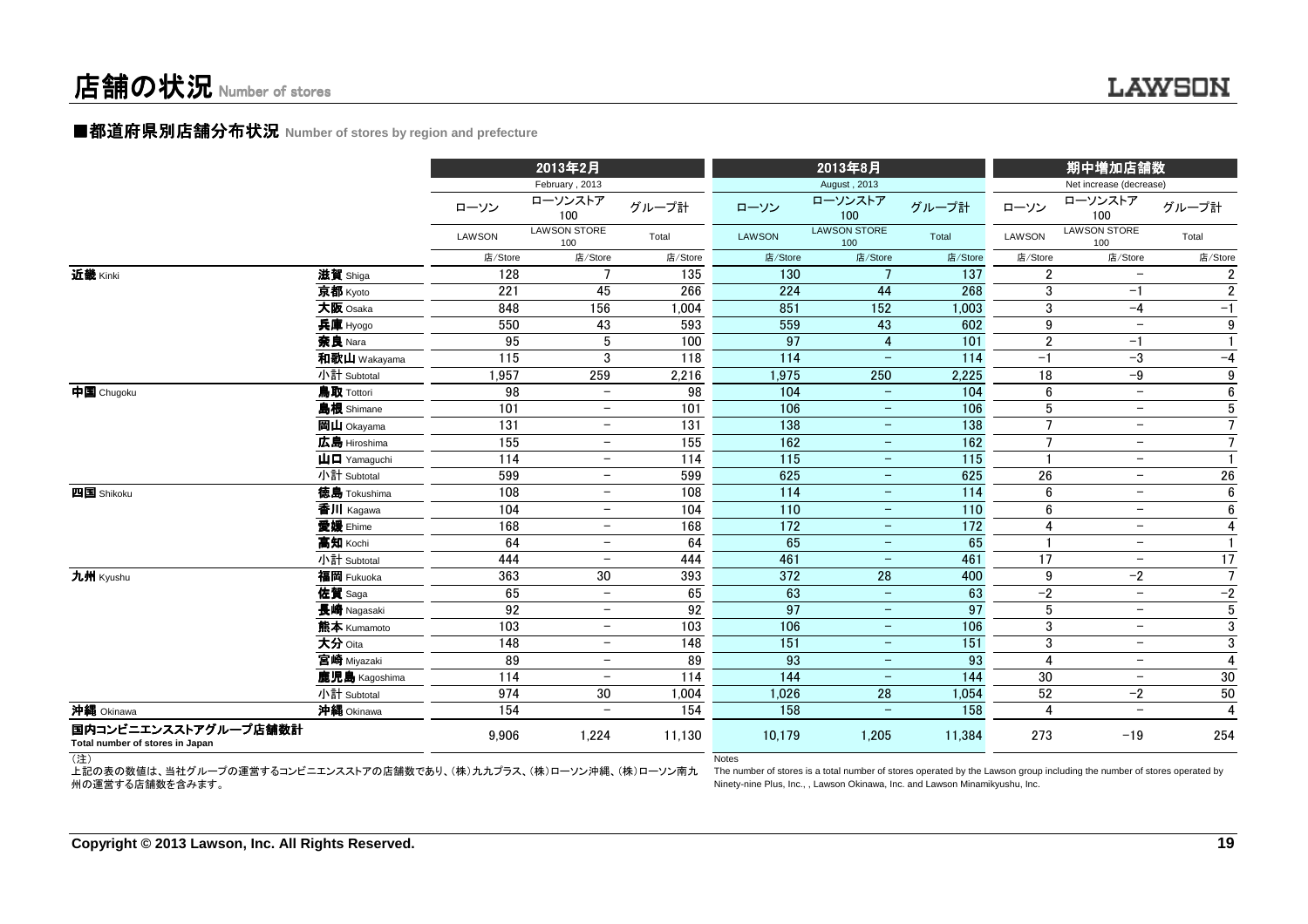#### ■都道府県別店舗分布状況 Number of stores by region and prefecture

|                                                         |                                                         |         | 2013年2月<br>February, 2013  |         |         | 2013年8月<br>August, 2013    |                 |                 | 期中増加店舗数<br>Net increase (decrease) |                  |
|---------------------------------------------------------|---------------------------------------------------------|---------|----------------------------|---------|---------|----------------------------|-----------------|-----------------|------------------------------------|------------------|
|                                                         |                                                         | ローソン    | ローソンストア<br>100             | グループ計   | ローソン    | ローソンストア<br>100             | グループ計           | ローソン            | ローソンストア<br>100                     | グループ計            |
|                                                         |                                                         | LAWSON  | <b>LAWSON STORE</b><br>100 | Total   | LAWSON  | <b>LAWSON STORE</b><br>100 | Total           | <b>LAWSON</b>   | <b>LAWSON STORE</b><br>100         | Total            |
|                                                         |                                                         | 店/Store | 店/Store                    | 店/Store | 店/Store | 店/Store                    | 店/Store         | 店/Store         | 店/Store                            | 店/Store          |
| 近畿 Kinki                                                | 滋賀 Shiga                                                | 128     | $\overline{7}$             | 135     | 130     | $\overline{7}$             | 137             | $\overline{2}$  | $\overline{\phantom{m}}$           | 2                |
|                                                         | 京都 Kyoto                                                | 221     | 45                         | 266     | 224     | 44                         | 268             | 3               | $-1$                               | $\overline{2}$   |
|                                                         | 大阪 Osaka                                                | 848     | 156                        | 1,004   | 851     | 152                        | 1,003           | 3               | $-4$                               | $-1$             |
|                                                         | 兵庫 Hyogo                                                | 550     | 43                         | 593     | 559     | 43                         | 602             | 9               | $\overline{\phantom{m}}$           | $\boldsymbol{9}$ |
|                                                         | 奈良 Nara                                                 | 95      | 5                          | 100     | 97      | $\overline{\mathbf{4}}$    | 101             | $\overline{2}$  | $-1$                               | $\mathbf{1}$     |
|                                                         | 和歌山 Wakayama                                            | 115     | 3                          | 118     | 114     | $\overline{\phantom{0}}$   | 114             | $-1$            | $-3$                               | $-4$             |
|                                                         | 小計 Subtotal                                             | 1,957   | 259                        | 2,216   | 1,975   | 250                        | 2,225           | 18              | $-9$                               | 9                |
| 中国 Chugoku                                              | 鳥取 Tottori                                              | 98      | $\overline{\phantom{a}}$   | 98      | 104     | $\overline{\phantom{a}}$   | 104             | 6               | $\overline{\phantom{m}}$           | $6\phantom{.}$   |
|                                                         | 島根 Shimane                                              | 101     | $\overline{\phantom{m}}$   | 101     | 106     | $\qquad \qquad -$          | 106             | 5               | $\overline{\phantom{m}}$           | $\overline{5}$   |
|                                                         | <b>岡山</b> Okayama                                       | 131     | $\overline{\phantom{m}}$   | 131     | 138     | $\qquad \qquad -$          | 138             | $\overline{7}$  | $\overline{\phantom{m}}$           | $\overline{7}$   |
|                                                         | 広島 Hiroshima                                            | 155     | $-$                        | 155     | 162     | $\overline{\phantom{m}}$   | 162             | $\overline{7}$  | $\overline{\phantom{m}}$           | $\overline{7}$   |
|                                                         | $\mathbf{\dot{\mathsf{\mu}}}$ $\mathbf{\Box}$ Yamaguchi | 114     | $-$                        | 114     | 115     | $\equiv$                   | 115             | $\overline{1}$  | $\overline{\phantom{m}}$           | $\mathbf{1}$     |
|                                                         | 小計 Subtotal                                             | 599     | $\overline{\phantom{m}}$   | 599     | 625     | $\qquad \qquad -$          | 625             | 26              | $\overline{\phantom{m}}$           | ${\bf 26}$       |
| 四国 Shikoku                                              | 徳島 Tokushima                                            | 108     | $\overline{\phantom{m}}$   | 108     | 114     | $\qquad \qquad -$          | 114             | 6               | $\overline{\phantom{m}}$           | $6\phantom{.0}$  |
|                                                         | 香川 Kagawa                                               | 104     | $\overline{\phantom{m}}$   | 104     | 110     | $\qquad \qquad -$          | 110             | 6               | $\overline{\phantom{m}}$           | 6                |
|                                                         | 愛媛 Ehime                                                | 168     | $\overline{\phantom{m}}$   | 168     | 172     | $-$                        | $\frac{1}{172}$ | $\overline{4}$  | $\overline{\phantom{a}}$           | $\overline{4}$   |
|                                                         | 高知 Kochi                                                | 64      | $\overline{\phantom{m}}$   | 64      | 65      | $\qquad \qquad -$          | 65              |                 | $\overline{\phantom{m}}$           | $\mathbf{1}$     |
|                                                         | 小計 Subtotal                                             | 444     | $\overline{\phantom{m}}$   | 444     | 461     | $\overline{\phantom{m}}$   | 461             | 17              | $\overline{\phantom{m}}$           | 17               |
| 九州 Kyushu                                               | 福岡 Fukuoka                                              | 363     | $30\,$                     | 393     | 372     | 28                         | 400             | 9               | $-2$                               | $\overline{7}$   |
|                                                         | 佐賀 Saga                                                 | 65      | $\overline{\phantom{a}}$   | 65      | 63      | $\overline{\phantom{m}}$   | 63              | $-2$            | $\overline{\phantom{m}}$           | $-2$             |
|                                                         | 長崎 Nagasaki                                             | 92      | $\overline{\phantom{m}}$   | 92      | 97      | $\overline{\phantom{a}}$   | $\overline{97}$ | $5\phantom{.0}$ | $\overline{\phantom{m}}$           | $\overline{5}$   |
|                                                         | 熊本 Kumamoto                                             | 103     | $\overline{\phantom{m}}$   | 103     | 106     | $\qquad \qquad -$          | 106             | 3               | $\overline{\phantom{a}}$           | $\overline{3}$   |
|                                                         | 大分 Oita                                                 | 148     | $\overline{\phantom{m}}$   | 148     | 151     | $\overline{\phantom{m}}$   | 151             | $\sqrt{3}$      | $\overline{\phantom{a}}$           | 3                |
|                                                         | 宮崎 Miyazaki                                             | 89      | $\overline{\phantom{m}}$   | 89      | 93      | $\overline{\phantom{m}}$   | 93              | $\overline{4}$  | $\overline{\phantom{m}}$           | $\overline{4}$   |
|                                                         | 鹿児島 Kagoshima                                           | 114     | $\overline{\phantom{m}}$   | 114     | 144     | $\overline{\phantom{a}}$   | 144             | 30              | $\overline{\phantom{m}}$           | 30               |
|                                                         | 小計 Subtotal                                             | 974     | 30                         | 1,004   | 1,026   | 28                         | 1,054           | 52              | $-2$                               | 50               |
| 沖縄 Okinawa                                              | 沖縄 Okinawa                                              | 154     | $\overline{\phantom{m}}$   | 154     | 158     | $\overline{\phantom{m}}$   | 158             | 4               | $\overline{\phantom{m}}$           | $\overline{4}$   |
| 国内コンビニエンスストアグループ店舗数計<br>Total number of stores in Japan |                                                         | 9,906   | 1,224                      | 11,130  | 10,179  | 1,205                      | 11,384          | 273             | $-19$                              | 254              |
| (3)                                                     |                                                         |         |                            |         | Notes   |                            |                 |                 |                                    |                  |

(注) 上記の表の数値は、当社グループの運営するコンビニエンスストアの店舗数であり、(株)九九プラス、(株)ローソン沖縄、(株)ローソン南九州の運営する店舗数を含みます。

 The number of stores is a total number of stores operated by the Lawson group including the number of stores operated byNinety-nine Plus, Inc., , Lawson Okinawa, Inc. and Lawson Minamikyushu, Inc.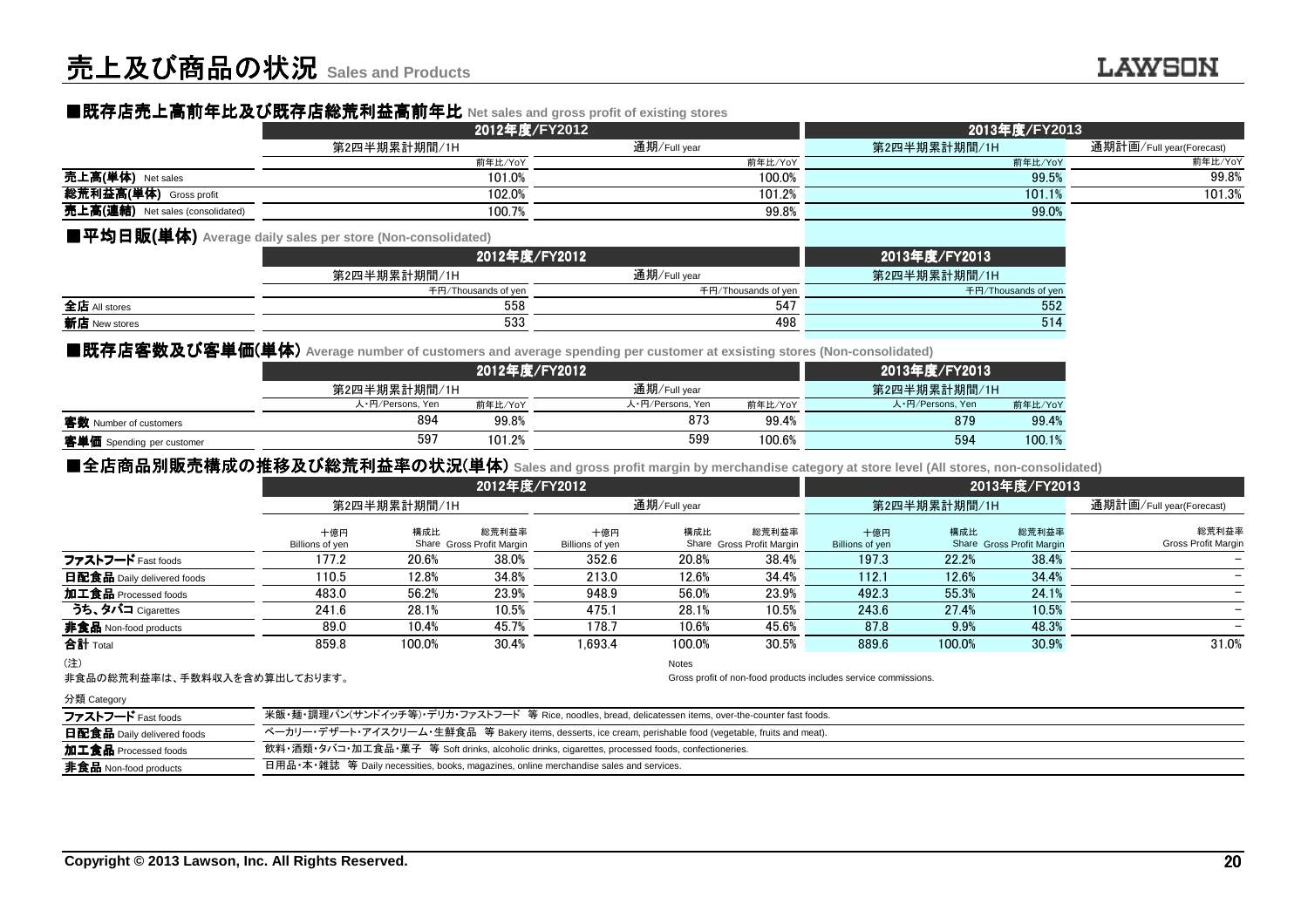# ■既存店売上高前年比及 ■既存店売上高前年比及び既存店総荒利益高前年比 び既存店総荒利益高前年比**Net sales and gross profit of existing stores**

|                                  | 2012年度/FY2012 |              | 2013年度/FY2013 |                          |  |  |
|----------------------------------|---------------|--------------|---------------|--------------------------|--|--|
|                                  | 第2四半期累計期間/1H  | 通期/Full year | 第2四半期累計期間/1H  | 通期計画/Full year(Forecast) |  |  |
|                                  | 前年比/YoY       | 前年比/YoY      | 前年比/YoY       | 前年比/YoY                  |  |  |
| 売上高(単体) Net sales                | 101.0%        | 100.0%       | 99.5%         | 99.8%                    |  |  |
| 総荒利益高(単体)<br>Gross profit        | 102.0%        | 101.2%       | 101.1%        | 101.3%                   |  |  |
| 克上高(連結) Net sales (consolidated) | 100.7%        | 99.8%        | 99.0%         |                          |  |  |

#### ■平均日販**(**単体**) Average daily sales per store (Non-consolidated)**

|                      |                     | 2012年度/FY2012       | 2013年度/FY2013       |  |  |  |
|----------------------|---------------------|---------------------|---------------------|--|--|--|
|                      | 第2四半期累計期間/1H        | 通期/Full year        | 第2四半期累計期間/1H        |  |  |  |
|                      | 千円/Thousands of yen | 千円/Thousands of yen | 千円/Thousands of yer |  |  |  |
| 全店 All stores        | 558                 | 547                 | 552                 |  |  |  |
| <b>新店</b> New stores | 533                 | 498                 | 514                 |  |  |  |
|                      |                     |                     |                     |  |  |  |

### ■既存店客数及び客単価(単体) Average number of customers and average spending per customer at exsisting stores (Non-consolidated)<br>● 2013年度

|                           |                  |         | 2012年度/FY2012    |         | 2013年度/FY2013    |         |
|---------------------------|------------------|---------|------------------|---------|------------------|---------|
|                           | 第2四半期累計期間/1H     |         | 通期/Full year     |         | 第2四半期累計期間/1H     |         |
|                           | 人·円/Persons, Yen | 前年比/YoY | 人·円/Persons, Yen | 前年比/YoY | 人·円/Persons, Yen | 前年比/YoY |
| 客数 Number of customers    | 894              | 99.8%   | 873              | 99.4%   | 879              | 99.4%   |
| 客単価 Spending per customer | 597              | 101.2%  | 599              | 100.6%  | 594              | 100.1%  |
|                           |                  |         |                  |         |                  |         |

## ■全店商品別販売構成の推移及び総荒利益率の状況(単体) sales and gross profit margin by merchandise category at store level (All stores, non-consolidated)<br>→ 2012年度/EY2013

|                                   |                                                                                                            |              | 2012年度/FY2012                      |                          |              |                                    |                                                                 |        | 2013年度/FY2013                      |                                     |
|-----------------------------------|------------------------------------------------------------------------------------------------------------|--------------|------------------------------------|--------------------------|--------------|------------------------------------|-----------------------------------------------------------------|--------|------------------------------------|-------------------------------------|
|                                   |                                                                                                            | 第2四半期累計期間/1H |                                    |                          | 通期/Full year |                                    | 第2四半期累計期間/1H                                                    |        |                                    | 通期計画/Full year(Forecast)            |
|                                   | 十億円                                                                                                        | 構成比          | 総荒利益率                              | 十億円                      | 構成比          | 総荒利益率                              | 十億円                                                             | 構成比    | 総荒利益率                              | 総荒利益率<br><b>Gross Profit Margin</b> |
| ファストフード Fast foods                | Billions of yen<br>177.2                                                                                   | 20.6%        | Share Gross Profit Margin<br>38.0% | Billions of yen<br>352.6 | 20.8%        | Share Gross Profit Margin<br>38.4% | Billions of yen<br>197.3                                        | 22.2%  | Share Gross Profit Margin<br>38.4% |                                     |
|                                   | 110.5                                                                                                      | 12.8%        | 34.8%                              | 213.0                    | 12.6%        | 34.4%                              | 112.1                                                           | 12.6%  | 34.4%                              |                                     |
| <b>日配食品</b> Daily delivered foods |                                                                                                            |              |                                    |                          |              |                                    |                                                                 |        |                                    |                                     |
| 加工食品 Processed foods              | 483.0                                                                                                      | 56.2%        | 23.9%                              | 948.9                    | 56.0%        | 23.9%                              | 492.3                                                           | 55.3%  | 24.1%                              |                                     |
| うち、タバコ Cigarettes                 | 241.6                                                                                                      | 28.1%        | 10.5%                              | 475.1                    | 28.1%        | 10.5%                              | 243.6                                                           | 27.4%  | 10.5%                              |                                     |
| 非食品 Non-food products             | 89.0                                                                                                       | 10.4%        | 45.7%                              | 178.7                    | 10.6%        | 45.6%                              | 87.8                                                            | 9.9%   | 48.3%                              |                                     |
| <b>合計</b> Total                   | 859.8                                                                                                      | 100.0%       | 30.4%                              | 1.693.4                  | 100.0%       | 30.5%                              | 889.6                                                           | 100.0% | 30.9%                              | 31.0%                               |
| (注)                               |                                                                                                            |              |                                    |                          | Notes        |                                    |                                                                 |        |                                    |                                     |
| 非食品の総荒利益率は、手数料収入を含め算出しております。      |                                                                                                            |              |                                    |                          |              |                                    | Gross profit of non-food products includes service commissions. |        |                                    |                                     |
| 分類 Category                       |                                                                                                            |              |                                    |                          |              |                                    |                                                                 |        |                                    |                                     |
| ファストフード Fast foods                | 米飯・麺・調理パン(サンドイッチ等)・デリカ・ファストフード 等 Rice, noodles, bread, delicatessen items, over-the-counter fast foods.    |              |                                    |                          |              |                                    |                                                                 |        |                                    |                                     |
| 日配食品 Daily delivered foods        | ベーカリー・デザート・アイスクリーム・生鮮食品 等 Bakery items, desserts, ice cream, perishable food (vegetable, fruits and meat). |              |                                    |                          |              |                                    |                                                                 |        |                                    |                                     |
| 加工食品 Processed foods              | 飲料・酒類・タバコ・加工食品・菓子 等 Soft drinks, alcoholic drinks, cigarettes, processed foods, confectioneries.           |              |                                    |                          |              |                                    |                                                                 |        |                                    |                                     |
| <b>非食品</b> Non-food products      | 日用品•本•雜誌 等 Daily necessities, books, magazines, online merchandise sales and services.                     |              |                                    |                          |              |                                    |                                                                 |        |                                    |                                     |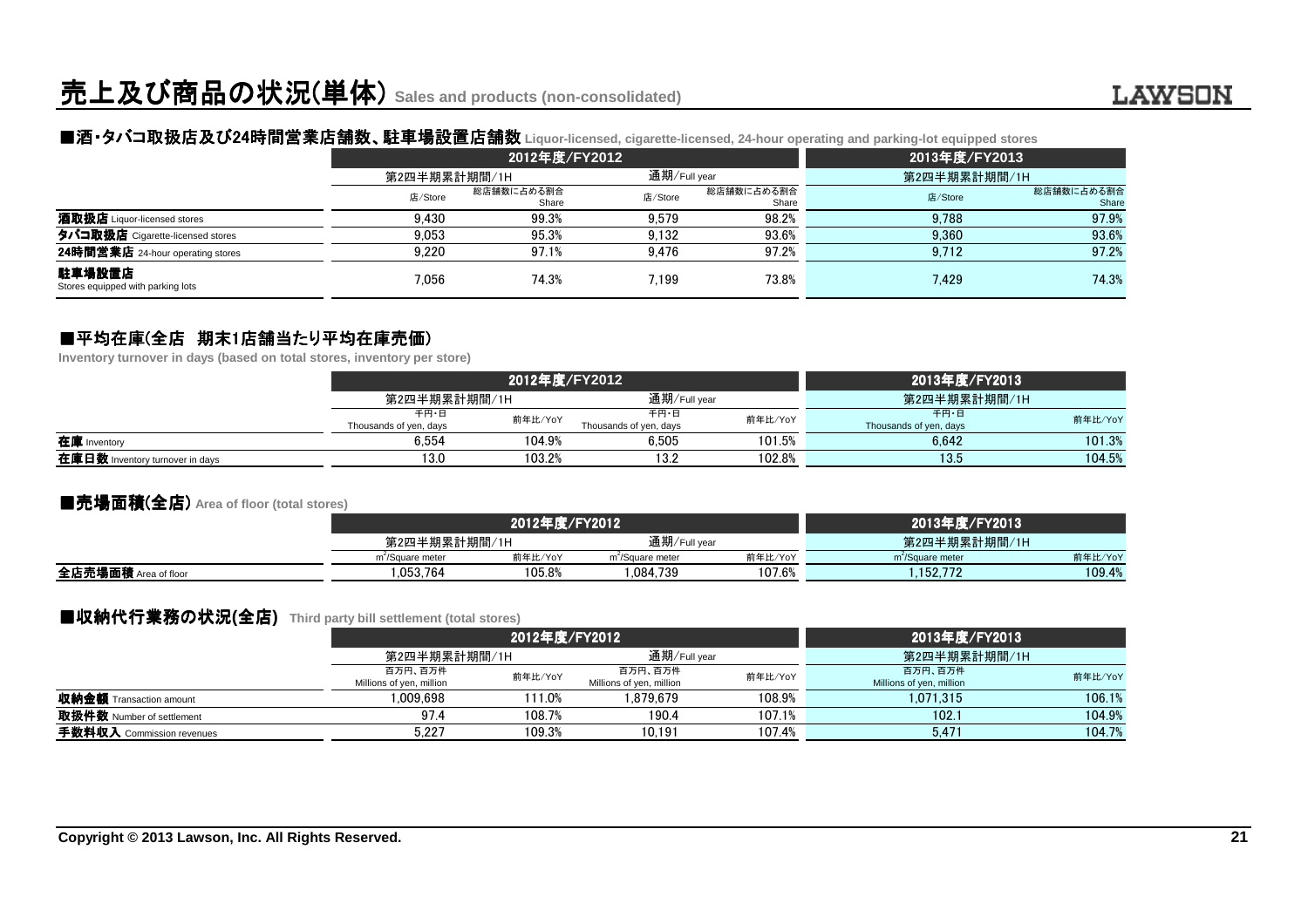# ■酒・タバコ取扱店及び24時間営業店舗数 時間営業店舗数、駐車場設置店舗数 、駐車場設置店舗数 **Liquor-licensed, cigarette-licensed, 24-hour operating and parking-lot equipped stores**

|                                             |              | 2012年度/FY2012       |              |                     | 2013年度/FY2013 |                     |  |
|---------------------------------------------|--------------|---------------------|--------------|---------------------|---------------|---------------------|--|
|                                             | 第2四半期累計期間/1H |                     | 通期/Full year |                     | 第2四半期累計期間/1H  |                     |  |
|                                             | 店/Store      | 総店舗数に占める割合<br>Share | 店/Store      | 総店舗数に占める割合<br>Share | 店/Store       | 総店舗数に占める割合<br>Share |  |
| <b>酒取扱店</b> Liquor-licensed stores          | 9.430        | 99.3%               | 9.579        | 98.2%               | 9.788         | 97.9%               |  |
| タバコ取扱店 Cigarette-licensed stores            | 9.053        | 95.3%               | 9.132        | 93.6%               | 9.360         | 93.6%               |  |
| 24時間営業店 24-hour operating stores            | 9.220        | 97.1%               | 9.476        | 97.2%               | 9.712         | 97.2%               |  |
| 駐車場設置店<br>Stores equipped with parking lots | 7.056        | 74.3%               | 7.199        | 73.8%               | 7.429         | 74.3%               |  |

# ■平均在庫(全店 期末1店舗当たり平均在庫売価)<br>Inventory turnover in davs (based on total stores, inventory per

**Inventory turnover in days (based on total stores, inventory per store)**

|                                 |                                | 2012年度/FY2012 |                                |         | 2013年度/FY2013                  |         |  |
|---------------------------------|--------------------------------|---------------|--------------------------------|---------|--------------------------------|---------|--|
|                                 | 第2四半期累計期間/1H                   |               | 通期/Full vear                   |         | 第2四半期累計期間/1H                   |         |  |
|                                 | 千円・日<br>Thousands of yen, days | 前年比/YoY       | 千円・日<br>Thousands of yen, days | 前年比/YoY | 千円・日<br>Thousands of yen, days | 前年比/YoY |  |
| 在庫 Inventory                    | 6.554                          | 104.9%        | 6.505                          | 101.5%  | 6.642                          | 101.3%  |  |
| 在庫日数 Inventory turnover in days | 13.0                           | 103.2%        | 13.2                           | 102.8%  | 13.5                           | 104.5%  |  |

#### ■売場面積(全店) **Area of floor (total stores)**

|                      |                              | 2012年度/FY2012 | 2013年度/FY2013                |              |                              |         |
|----------------------|------------------------------|---------------|------------------------------|--------------|------------------------------|---------|
|                      |                              | 第2四半期累計期間/1H  |                              | 通期/Full year | 第2四半期累計期間/1H                 |         |
|                      | m <sup>2</sup> /Square meter | 前年比/YoY       | m <sup>-</sup> /Square meter | 前年比/YoY      | m <sup>2</sup> /Square meter | 前年比/YoY |
| 全店売場面積 Area of floor | .053.764                     | 105.8%        | .084.739                     | 107.6%       | 152.772                      | 109.4%  |
|                      |                              |               |                              |              |                              |         |

### ■収納代行業務の状況(全店) Third party bill settlement (total stores)<br>*?*

|                                |                                     | 2012年度/FY2012 |                                     |              | 2013年度/FY2013                       |         |  |
|--------------------------------|-------------------------------------|---------------|-------------------------------------|--------------|-------------------------------------|---------|--|
|                                |                                     | 第2四半期累計期間/1H  |                                     | 通期/Full year | 第2四半期累計期間/1H                        |         |  |
|                                | 百万円、百万件<br>Millions of yen, million | 前年比/YoY       | 百万円、百万件<br>Millions of yen, million | 前年比/YoY      | 百万円、百万件<br>Millions of yen, million | 前年比/YoY |  |
| <b>収納金額</b> Transaction amount | .009.698                            | 111.0%        | 1.879.679                           | 108.9%       | 1.071.315                           | 106.1%  |  |
| 取扱件数 Number of settlement      | 97.4                                | 108.7%        | 190.4                               | 107.1%       | 102.1                               | 104.9%  |  |
| 手数料収入 Commission revenues      | 5.227                               | 109.3%        | 10.191                              | 107.4%       | 5.471                               | 104.7%  |  |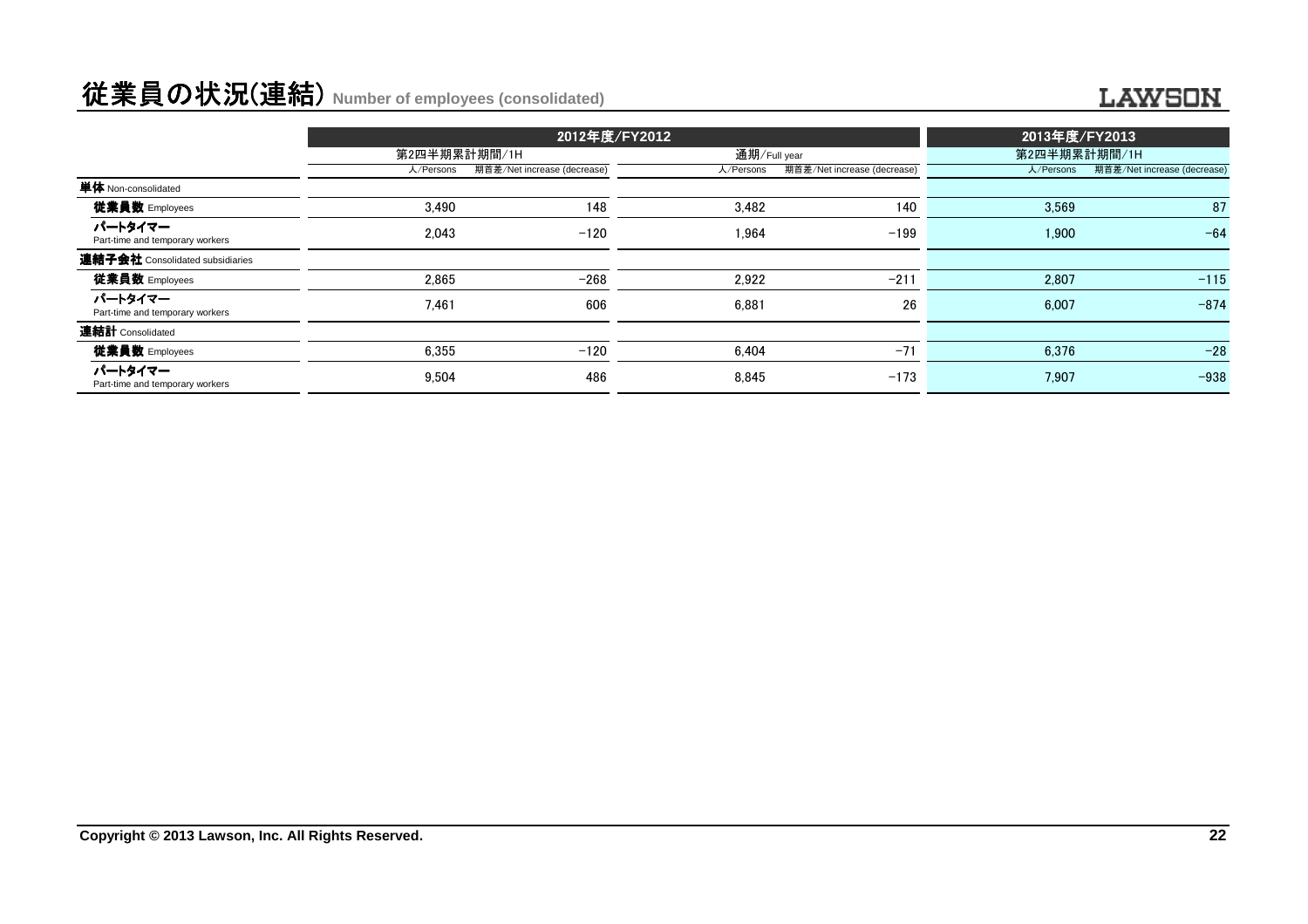# 従業員の状況(連結) **Number of employees (consolidated)**

#### **LAWSON**

|                                            | 2012年度/FY2012 |                             |              |                             | 2013年度/FY2013 |                             |  |
|--------------------------------------------|---------------|-----------------------------|--------------|-----------------------------|---------------|-----------------------------|--|
|                                            | 第2四半期累計期間/1H  |                             | 通期/Full year |                             | 第2四半期累計期間/1H  |                             |  |
|                                            | 人/Persons     | 期首差/Net increase (decrease) | 人/Persons    | 期首差/Net increase (decrease) | 人/Persons     | 期首差/Net increase (decrease) |  |
| 単体 Non-consolidated                        |               |                             |              |                             |               |                             |  |
| 従業員数 Employees                             | 3.490         | 148                         | 3,482        | 140                         | 3,569         | 87                          |  |
| パートタイマー<br>Part-time and temporary workers | 2.043         | $-120$                      | 1.964        | $-199$                      | 1.900         | $-64$                       |  |
| 連結子会社 Consolidated subsidiaries            |               |                             |              |                             |               |                             |  |
| 従業員数 Employees                             | 2.865         | $-268$                      | 2.922        | $-211$                      | 2,807         | $-115$                      |  |
| パートタイマー<br>Part-time and temporary workers | 7.461         | 606                         | 6.881        | 26                          | 6.007         | $-874$                      |  |
| 連結計 Consolidated                           |               |                             |              |                             |               |                             |  |
| 従業員数 Employees                             | 6,355         | $-120$                      | 6.404        | $-71$                       | 6,376         | $-28$                       |  |
| パートタイマー<br>Part-time and temporary workers | 9.504         | 486                         | 8.845        | $-173$                      | 7.907         | $-938$                      |  |